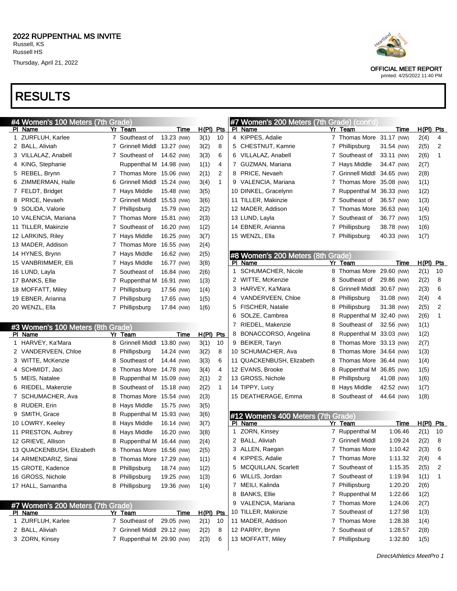### RESULTS

|              | #4 Women's 100 Meters (7th Grade)            |   |                             |            |             |              |   | #7 Women's 200 Meters (7th Grade) (cont'd) |   |                             |            |             |              |
|--------------|----------------------------------------------|---|-----------------------------|------------|-------------|--------------|---|--------------------------------------------|---|-----------------------------|------------|-------------|--------------|
|              | PI Name                                      |   | Yr Team                     | Time       | H(PI) Pts   |              |   | PI Name                                    |   | Yr Team                     | Time       | $H(PI)$ Pts |              |
|              | 1 ZURFLUH, Karlee                            |   | 7 Southeast of              | 13.23 (NW) | 3(1)        | 10           |   | 4 KIPPES, Adalie                           |   | 7 Thomas More 31.17 (NW)    |            | 2(4)        | 4            |
|              | 2 BALL, Aliviah                              |   | 7 Grinnell Middl 13.27 (NW) |            | 3(2)        | 8            |   | 5 CHESTNUT, Kamrie                         |   | 7 Phillipsburg              | 31.54 (NW) | 2(5)        | 2            |
|              | 3 VILLALAZ, Anabell                          |   | 7 Southeast of              | 14.62 (NW) | 3(3)        | 6            |   | 6 VILLALAZ, Anabell                        |   | 7 Southeast of              | 33.11 (NW) | 2(6)        | 1            |
|              | 4 KING, Stephanie                            |   | Ruppenthal M 14.98 (NW)     |            | 1(1)        | 4            |   | 7 GUZMAN, Mariana                          |   | 7 Hays Middle               | 34.47 (NW) | 2(7)        |              |
|              | 5 REBEL, Brynn                               |   | 7 Thomas More 15.06 (NW)    |            | 2(1)        | 2            |   | 8 PRICE, Nevaeh                            |   | 7 Grinnell Middl 34.65 (NW) |            | 2(8)        |              |
|              | 6 ZIMMERMAN, Halle                           |   | 6 Grinnell Middl 15.24 (NW) |            | 3(4)        | $\mathbf{1}$ |   | 9 VALENCIA, Mariana                        |   | 7 Thomas More 35.08 (NW)    |            | 1(1)        |              |
|              | 7 FELDT, Bridget                             |   | 7 Hays Middle               | 15.48 (NW) | 3(5)        |              |   | 10 DINKEL, Gracelynn                       |   | 7 Ruppenthal M 36.33 (NW)   |            | 1(2)        |              |
|              | 8 PRICE, Nevaeh                              |   | 7 Grinnell Middl 15.53 (NW) |            | 3(6)        |              |   | 11 TILLER, Makinzie                        |   | 7 Southeast of              | 36.57 (NW) | 1(3)        |              |
|              | 9 SOLIDA, Valorie                            |   | 7 Phillipsburg              | 15.79 (NW) | 2(2)        |              |   | 12 MADER, Addison                          |   | 7 Thomas More 36.63 (NW)    |            | 1(4)        |              |
|              | 10 VALENCIA, Mariana                         |   | 7 Thomas More 15.81 (NW)    |            | 2(3)        |              |   | 13 LUND, Layla                             |   | 7 Southeast of              | 36.77 (NW) | 1(5)        |              |
|              | 11 TILLER, Makinzie                          |   | 7 Southeast of              | 16.20 (NW) | 1(2)        |              |   | 14 EBNER, Arianna                          |   | 7 Phillipsburg              | 38.78 (NW) | 1(6)        |              |
|              | 12 LARKINS, Riley                            |   | 7 Hays Middle               | 16.25 (NW) | 3(7)        |              |   | 15 WENZL, Ella                             |   | 7 Phillipsburg              | 40.33 (NW) | 1(7)        |              |
|              | 13 MADER, Addison                            |   | 7 Thomas More               | 16.55 (NW) | 2(4)        |              |   |                                            |   |                             |            |             |              |
|              | 14 HYNES, Brynn                              |   | 7 Hays Middle               | 16.62 (NW) | 2(5)        |              |   | #8 Women's 200 Meters (8th                 |   | Grade)                      |            |             |              |
|              | 15 VANBRIMMER, Elli                          |   | 7 Hays Middle               | 16.77 (NW) | 3(8)        |              |   | PI Name                                    |   | Yr Team                     | Time       | $H(PI)$ Pts |              |
|              | 16 LUND, Layla                               |   | 7 Southeast of              | 16.84 (NW) | 2(6)        |              |   | 1 SCHUMACHER, Nicole                       |   | 8 Thomas More 29.60 (NW)    |            | 2(1)        | 10           |
|              | 17 BANKS, Ellie                              |   | 7 Ruppenthal M 16.91 (NW)   |            | 1(3)        |              |   | 2 WITTE, McKenzie                          |   | 8 Southeast of              | 29.86 (NW) | 2(2)        | 8            |
|              | 18 MOFFATT, Miley                            |   | 7 Phillipsburg              | 17.56 (NW) | 1(4)        |              |   | 3 HARVEY, Ka'Mara                          |   | 8 Grinnell Middl 30.67 (NW) |            | 2(3)        | 6            |
|              | 19 EBNER, Arianna                            |   | 7 Phillipsburg              | 17.65 (NW) | 1(5)        |              |   | 4 VANDERVEEN, Chloe                        |   | 8 Phillipsburg              | 31.08 (NW) | 2(4)        | 4            |
|              | 20 WENZL, Ella                               |   | 7 Phillipsburg              | 17.84 (NW) | 1(6)        |              |   | 5 FISCHER, Natalie                         |   | 8 Phillipsburg              | 31.38 (NW) | 2(5)        | 2            |
|              |                                              |   |                             |            |             |              |   | 6 SOLZE, Cambrea                           |   | 8 Ruppenthal M 32.40 (NW)   |            | 2(6)        | $\mathbf{1}$ |
|              |                                              |   |                             |            |             |              |   | 7 RIEDEL, Makenzie                         | 8 | Southeast of                | 32.56 (NW) | 1(1)        |              |
|              | #3 Women's 100 Meters (8th Grade)<br>PI Name |   | Yr Team                     | Time       | H(PI) Pts   |              |   | 8 BONACCORSO, Angelina                     |   | 8 Ruppenthal M 33.03 (NW)   |            | 1(2)        |              |
|              | 1 HARVEY, Ka'Mara                            | 8 | Grinnell Middl 13.80 (NW)   |            | 3(1)        | 10           |   | 9 BEIKER, Taryn                            | 8 | Thomas More 33.13 (NW)      |            | 2(7)        |              |
|              | 2 VANDERVEEN, Chloe                          | 8 | Phillipsburg                | 14.24 (NW) | 3(2)        | 8            |   | 10 SCHUMACHER, Ava                         | 8 | Thomas More 34.64 (NW)      |            | 1(3)        |              |
|              | 3 WITTE, McKenzie                            | 8 | Southeast of                | 14.44 (NW) | 3(3)        | 6            |   | 11 QUACKENBUSH, Elizabeth                  | 8 | Thomas More 36.44 (NW)      |            | 1(4)        |              |
|              | 4 SCHMIDT, Jaci                              | 8 | Thomas More 14.78 (NW)      |            | 3(4)        | 4            |   | 12 EVANS, Brooke                           |   | 8 Ruppenthal M 36.85 (NW)   |            | 1(5)        |              |
|              |                                              |   |                             |            |             | 2            |   | 13 GROSS, Nichole                          |   |                             |            |             |              |
|              | 5 MEIS, Natalee                              | 8 | Ruppenthal M 15.09 (NW)     |            | 2(1)        |              |   |                                            |   | 8 Phillipsburg              | 41.08 (NW) | 1(6)        |              |
|              | 6 RIEDEL, Makenzie                           | 8 | Southeast of                | 15.18 (NW) | 2(2)        | $\mathbf{1}$ |   | 14 TIPPY, Lucy                             |   | 8 Hays Middle               | 42.52 (NW) | 1(7)        |              |
|              | 7 SCHUMACHER, Ava                            | 8 | Thomas More 15.54 (NW)      |            | 2(3)        |              |   | 15 DEATHERAGE, Emma                        | 8 | Southeast of                | 44.64 (NW) | 1(8)        |              |
|              | 8 RUDER, Erin                                | 8 | Hays Middle                 | 15.75 (NW) | 3(5)        |              |   |                                            |   |                             |            |             |              |
|              | 9 SMITH, Grace                               | 8 | Ruppenthal M 15.93 (NW)     |            | 3(6)        |              |   | #12 Women's 400 Meters (7th Grade)         |   |                             |            |             |              |
|              | 10 LOWRY, Keeley                             | 8 | Hays Middle                 | 16.14 (NW) | 3(7)        |              |   | PI Name                                    |   | Yr Team                     | Time       | $H(PI)$ Pts |              |
|              | 11 PRESTON, Aubrey                           | 8 | Hays Middle                 | 16.20 (NW) | 3(8)        |              |   | 1 ZORN, Kinsey                             |   | 7 Ruppenthal M              | 1:06.46    | 2(1)        | 10           |
|              | 12 GRIEVE, Allison                           | 8 | Ruppenthal M 16.44 (NW)     |            | 2(4)        |              |   | 2 BALL, Aliviah                            |   | 7 Grinnell Middl            | 1:09.24    | 2(2)        | 8            |
|              | 13 QUACKENBUSH, Elizabeth                    | 8 | Thomas More 16.56 (NW)      |            | 2(5)        |              |   | 3 ALLEN, Raegan                            |   | 7 Thomas More               | 1:10.42    | 2(3)        | 6            |
|              | 14 ARMENDARIZ, Sinai                         | 8 | Thomas More 17.29 (NW)      |            | 1(1)        |              |   | 4 KIPPES, Adalie                           |   | 7 Thomas More               | 1:11.32    | 2(4)        | 4            |
|              | 15 GROTE, Kadence                            | 8 | Phillipsburg                | 18.74 (NW) | 1(2)        |              |   | 5 MCQUILLAN, Scarlett                      |   | 7 Southeast of              | 1:15.35    | 2(5)        | 2            |
|              | 16 GROSS, Nichole                            | 8 | Phillipsburg                | 19.25 (NW) | 1(3)        |              |   | 6 WILLIS, Jordan                           |   | 7 Southeast of              | 1:19.94    | 1(1)        | -1           |
|              | 17 HALL, Samantha                            |   | 8 Phillipsburg              | 19.36 (NW) | 1(4)        |              | 7 | MEILI, Kalinda                             |   | 7 Phillipsburg              | 1:20.20    | 2(6)        |              |
|              |                                              |   |                             |            |             |              |   | 8 BANKS, Ellie                             |   | 7 Ruppenthal M              | 1:22.66    | 1(2)        |              |
|              | #7 Women's 200 Meters (7th Grade)            |   |                             |            |             |              |   | 9 VALENCIA, Mariana                        |   | 7 Thomas More               | 1:24.06    | 2(7)        |              |
|              | PI Name                                      |   | Yr Team                     | Time       | $H(PI)$ Pts |              |   | 10 TILLER, Makinzie                        |   | 7 Southeast of              | 1:27.98    | 1(3)        |              |
| $\mathbf{1}$ | ZURFLUH, Karlee                              |   | 7 Southeast of              | 29.05 (NW) | 2(1)        | 10           |   | 11 MADER, Addison                          |   | 7 Thomas More               | 1:28.38    | 1(4)        |              |
|              | 2 BALL, Aliviah                              |   | 7 Grinnell Middl 29.12 (NW) |            | 2(2)        | 8            |   | 12 PARRY, Brynn                            |   | 7 Southeast of              | 1:28.57    | 2(8)        |              |
|              | 3 ZORN, Kinsey                               |   | 7 Ruppenthal M 29.90 (NW)   |            | 2(3)        | 6            |   | 13 MOFFATT, Miley                          |   | 7 Phillipsburg              | 1:32.80    | 1(5)        |              |
|              |                                              |   |                             |            |             |              |   |                                            |   |                             |            |             |              |



OFFICIAL MEET REPORT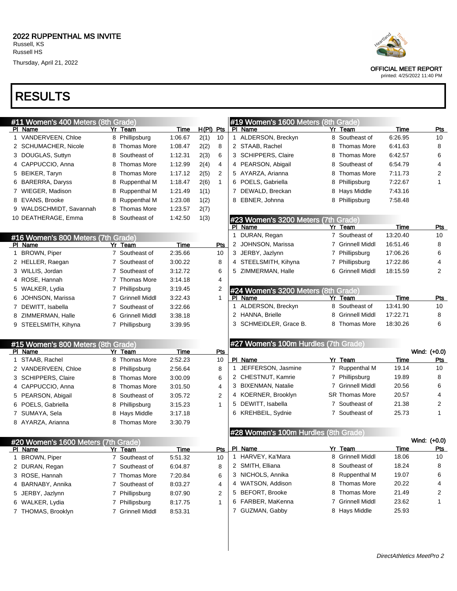### RESULTS

|              | #11 Women's 400 Meters (8th Grade)            |                            |             |             |                |              | #19 Women's 1600 Meters (8th Grade)  |    |                       |             |                         |
|--------------|-----------------------------------------------|----------------------------|-------------|-------------|----------------|--------------|--------------------------------------|----|-----------------------|-------------|-------------------------|
|              | PI Name                                       | Yr Team                    | Time        | $H(PI)$ Pts |                |              | PI Name                              |    | Yr Team               | <b>Time</b> | <u>Pts</u>              |
|              | 1 VANDERVEEN, Chloe                           | 8 Phillipsburg             | 1:06.67     | 2(1)        | 10             |              | 1 ALDERSON, Breckyn                  |    | 8 Southeast of        | 6:26.95     | 10                      |
|              | 2 SCHUMACHER, Nicole                          | 8 Thomas More              | 1:08.47     | 2(2)        | 8              |              | 2 STAAB, Rachel                      | 8  | <b>Thomas More</b>    | 6:41.63     | 8                       |
|              | 3 DOUGLAS, Suttyn                             | 8 Southeast of             | 1:12.31     | 2(3)        | 6              |              | 3 SCHIPPERS, Claire                  | 8  | Thomas More           | 6:42.57     | 6                       |
|              | 4 CAPPUCCIO, Anna                             | 8 Thomas More              | 1:12.99     | 2(4)        | 4              |              | 4 PEARSON, Abigail                   | 8  | Southeast of          | 6:54.79     | 4                       |
|              | 5 BEIKER, Taryn                               | 8 Thomas More              | 1:17.12     | 2(5)        | $\overline{2}$ |              | 5 AYARZA, Arianna                    |    | Thomas More           | 7:11.73     | $\overline{\mathbf{c}}$ |
|              | 6 BARERRA, Daryss                             | 8 Ruppenthal M             | 1:18.47     | 2(6)        | $\mathbf{1}$   |              | 6 POELS, Gabriella                   | 8  | Phillipsburg          | 7:22.67     | 1                       |
|              | 7 WIEGER, Madison                             | 8 Ruppenthal M             | 1:21.49     | 1(1)        |                |              | 7 DEWALD, Breckan                    | 8  | Hays Middle           | 7:43.16     |                         |
|              | 8 EVANS, Brooke                               | 8 Ruppenthal M             | 1:23.08     | 1(2)        |                |              | 8 EBNER, Johnna                      | 8  | Phillipsburg          | 7:58.48     |                         |
|              | 9 WALDSCHMIDT, Savannah                       | 8 Thomas More              | 1:23.57     | 2(7)        |                |              |                                      |    |                       |             |                         |
|              | 10 DEATHERAGE, Emma                           | 8 Southeast of             | 1:42.50     | 1(3)        |                |              | #23 Women's 3200 Meters (7th Grade)  |    |                       |             |                         |
|              |                                               |                            |             |             |                |              | PI Name                              |    | Yr Team               | Time        | <b>Pts</b>              |
|              | #16 Women's 800 Meters (7th Grade)            |                            |             |             |                | $\mathbf{1}$ | DURAN, Regan                         |    | 7 Southeast of        | 13:20.40    | 10                      |
|              | PI Name                                       | Yr Team                    | Time        |             | Pts            |              | 2 JOHNSON, Marissa                   | 7  | <b>Grinnell Middl</b> | 16:51.46    | 8                       |
|              | 1 BROWN, Piper                                | 7 Southeast of             | 2:35.66     |             | 10             |              | 3 JERBY, Jazlynn                     | 7  | Phillipsburg          | 17:06.26    | 6                       |
|              | 2 HELLER, Raegan                              | 7 Southeast of             | 3:00.22     |             | 8              |              | 4 STEELSMITH, Kihyna                 | 7  | Phillipsburg          | 17:22.86    | 4                       |
|              | 3 WILLIS, Jordan                              | 7 Southeast of             | 3:12.72     |             | 6              |              | 5 ZIMMERMAN, Halle                   |    | <b>Grinnell Middl</b> | 18:15.59    | 2                       |
|              | 4 ROSE, Hannah                                | 7 Thomas More              | 3:14.18     |             | 4              |              |                                      |    |                       |             |                         |
|              | 5 WALKER, Lydia                               | 7 Phillipsburg             | 3:19.45     |             | 2              |              | #24 Women's 3200 Meters (8th Grade)  |    |                       |             |                         |
|              | 6 JOHNSON, Marissa                            | 7 Grinnell Middl           | 3:22.43     |             | $\mathbf{1}$   |              | PI Name                              | Yr | Team                  | Time        | <u>Pts</u>              |
|              | 7 DEWITT, Isabella                            | 7 Southeast of             | 3:22.66     |             |                | 1            | ALDERSON, Breckyn                    | 8  | Southeast of          | 13:41.90    | 10                      |
|              | 8 ZIMMERMAN, Halle                            | <b>Grinnell Middl</b><br>6 | 3:38.18     |             |                |              | 2 HANNA, Brielle                     | 8  | <b>Grinnell Middl</b> | 17:22.71    | 8                       |
|              | 9 STEELSMITH, Kihyna                          | 7 Phillipsburg             | 3:39.95     |             |                |              | 3 SCHMEIDLER, Grace B.               | 8  | <b>Thomas More</b>    | 18:30.26    | 6                       |
|              |                                               |                            |             |             |                |              |                                      |    |                       |             |                         |
|              | #15 Women's 800 Meters (8th Grade)<br>PI Name | Team<br>Yr                 | Time        |             | Pts            |              | #27 Women's 100m Hurdles (7th Grade) |    |                       |             | Wind: (+0.0)            |
|              | 1 STAAB, Rachel                               | 8 Thomas More              | 2:52.23     |             | 10             |              | PI Name                              |    | Yr Team               | Time        | <u>Pts</u>              |
|              | 2 VANDERVEEN, Chloe                           | 8<br>Phillipsburg          | 2:56.64     |             | 8              | 1            | JEFFERSON, Jasmine                   |    | 7 Ruppenthal M        | 19.14       | 10                      |
|              | 3 SCHIPPERS, Claire                           | <b>Thomas More</b><br>8    | 3:00.09     |             | 6              |              | 2 CHESTNUT, Kamrie                   | 7  | Phillipsburg          | 19.89       | 8                       |
|              | 4 CAPPUCCIO, Anna                             | <b>Thomas More</b><br>8    | 3:01.50     |             | 4              |              | 3 BIXENMAN, Natalie                  | 7  | Grinnell Middl        | 20.56       | 6                       |
|              | 5 PEARSON, Abigail                            | 8<br>Southeast of          | 3:05.72     |             | $\overline{c}$ |              | 4 KOERNER, Brooklyn                  |    | SR Thomas More        | 20.57       | 4                       |
|              | 6 POELS, Gabriella                            | Phillipsburg<br>8          | 3:15.23     |             | $\mathbf{1}$   | 5            | DEWITT, Isabella                     | 7  | Southeast of          | 21.38       | 2                       |
|              | 7 SUMAYA, Sela                                | <b>Hays Middle</b><br>8    | 3:17.18     |             |                |              | 6 KREHBEIL, Sydnie                   |    | 7 Southeast of        | 25.73       | 1                       |
|              | 8 AYARZA, Arianna                             | 8 Thomas More              | 3:30.79     |             |                |              |                                      |    |                       |             |                         |
|              |                                               |                            |             |             |                |              | #28 Women's 100m Hurdles (8th Grade) |    |                       |             |                         |
|              | #20 Women's 1600 Meters (7th Grade)           |                            |             |             |                |              |                                      |    |                       |             | Wind: (+0.0)            |
|              | <u>PI Name</u>                                | <u>Yr Team</u>             | <b>Time</b> |             | <u>Pts</u>     |              | PI Name                              |    | Yr Team               | <b>Time</b> | <u>Pts</u>              |
| $\mathbf{1}$ | <b>BROWN, Piper</b>                           | 7 Southeast of             | 5:51.32     |             | 10             |              | 1 HARVEY, Ka'Mara                    |    | 8 Grinnell Middl      | 18.06       | 10                      |
|              | 2 DURAN, Regan                                | 7 Southeast of             | 6:04.87     |             | 8              |              | 2 SMITH, Elliana                     | 8  | Southeast of          | 18.24       | 8                       |
|              | 3 ROSE, Hannah                                | 7 Thomas More              | 7:20.84     |             | 6              |              | 3 NICHOLS, Annika                    | 8  | <b>Ruppenthal M</b>   | 19.07       | 6                       |
|              | 4 BARNABY, Annika                             | 7 Southeast of             | 8:03.27     |             | 4              |              | 4 WATSON, Addison                    | 8  | Thomas More           | 20.22       | 4                       |
|              | 5 JERBY, Jazlynn                              | 7 Phillipsburg             | 8:07.90     |             | 2              | 5            | <b>BEFORT, Brooke</b>                | 8  | <b>Thomas More</b>    | 21.49       | 2                       |
|              | 6 WALKER, Lydia                               | 7 Phillipsburg             | 8:17.75     |             | 1              |              | 6 FARBER, MaKenna                    | 7  | <b>Grinnell Middl</b> | 23.62       | 1                       |
|              | 7 THOMAS, Brooklyn                            | 7 Grinnell Middl           | 8:53.31     |             |                |              | 7 GUZMAN, Gabby                      |    | 8 Hays Middle         | 25.93       |                         |
|              |                                               |                            |             |             |                |              |                                      |    |                       |             |                         |



OFFICIAL MEET REPORT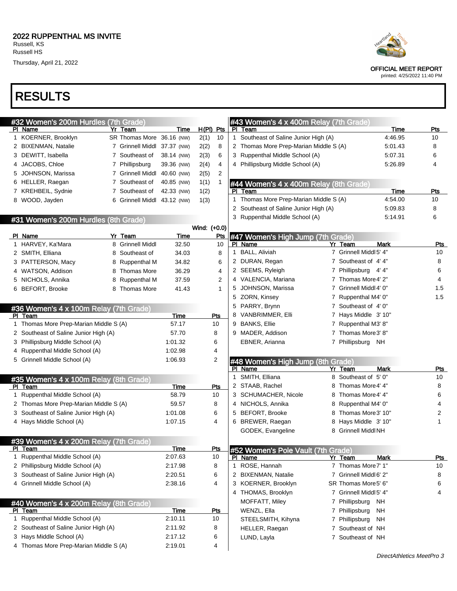

| #32 Women's 200m Hurdles (7th Grade)                               |                             |                    |                |         | #43 Women's 4 x 400m Relay (7th Grade) |                                |             |            |
|--------------------------------------------------------------------|-----------------------------|--------------------|----------------|---------|----------------------------------------|--------------------------------|-------------|------------|
| PI Name                                                            | Yr Team                     | Time               | $H(PI)$ Pts    | PI Team |                                        |                                | Time        | Pts        |
| 1 KOERNER, Brooklyn                                                | <b>SR Thomas More</b>       | 36.16 (NW)         | 2(1)<br>10     |         | 1 Southeast of Saline Junior High (A)  |                                | 4:46.95     | 10         |
| 2 BIXENMAN, Natalie                                                | 7 Grinnell Middl            | 37.37 (NW)         | 2(2)<br>8      |         | 2 Thomas More Prep-Marian Middle S (A) |                                | 5:01.43     | 8          |
| 3 DEWITT, Isabella                                                 | 7 Southeast of              | 38.14 (NW)         | 2(3)<br>6      |         | 3 Ruppenthal Middle School (A)         |                                | 5:07.31     | 6          |
| JACOBS, Chloe<br>4                                                 | 7 Phillipsburg              | 39.36 (NW)         | 2(4)<br>4      |         | 4 Phillipsburg Middle School (A)       |                                | 5:26.89     | 4          |
| JOHNSON, Marissa<br>5                                              | 7 Grinnell Middl            | 40.60 (NW)         | 2(5)<br>2      |         |                                        |                                |             |            |
| HELLER, Raegan<br>6                                                | 7 Southeast of              | 40.85 (NW)         | 1(1)<br>1      |         | #44 Women's 4 x 400m Relay (8th Grade) |                                |             |            |
| 7 KREHBEIL, Sydnie                                                 | 7 Southeast of              | 42.33 (NW)         | 1(2)           | PI Team |                                        |                                | Time        | Pts        |
| 8 WOOD, Jayden                                                     | 6 Grinnell Middl 43.12 (NW) |                    | 1(3)           |         | 1 Thomas More Prep-Marian Middle S (A) |                                | 4:54.00     | 10         |
|                                                                    |                             |                    |                |         | 2 Southeast of Saline Junior High (A)  |                                | 5:09.83     | 8          |
| #31 Women's 200m Hurdles (8th Grade)                               |                             |                    |                |         | 3 Ruppenthal Middle School (A)         |                                | 5:14.91     | 6          |
|                                                                    |                             |                    | Wind: (+0.0)   |         |                                        |                                |             |            |
| PI Name                                                            | Yr Team                     | <b>Time</b>        | <b>Pts</b>     |         | #47 Women's High Jump (7th Grade)      |                                |             |            |
| 1 HARVEY, Ka'Mara                                                  | 8 Grinnell Middl            | 32.50              | 10             | PI Name |                                        | Yr Team                        | Mark        | Pts        |
| 2 SMITH, Elliana                                                   | 8 Southeast of              | 34.03              | 8              |         | 1 BALL, Aliviah                        | 7 Grinnell Middl 5' 4"         |             | 10         |
| 3 PATTERSON, Macy                                                  | 8 Ruppenthal M              | 34.82              | 6              |         | 2 DURAN, Regan                         | 7<br>Southeast of 4'4"         |             | 8          |
| WATSON, Addison<br>4                                               | 8 Thomas More               | 36.29              | 4              |         | 2 SEEMS, Ryleigh                       | Phillipsburg 4'4"<br>7         |             | 6          |
| NICHOLS, Annika<br>5                                               | 8 Ruppenthal M              | 37.59              | $\overline{2}$ |         | 4 VALENCIA, Mariana                    | Thomas More 4' 2"<br>7         |             | 4          |
| 6 BEFORT, Brooke                                                   | 8 Thomas More               | 41.43              | $\mathbf{1}$   |         | 5 JOHNSON, Marissa                     | Grinnell Middl 4' 0"<br>7      |             | 1.5        |
|                                                                    |                             |                    |                |         | 5 ZORN, Kinsey                         | Ruppenthal M4' 0"<br>7         |             | 1.5        |
| #36 Women's 4 x 100m Relay (7th Grade)                             |                             |                    |                |         | 5 PARRY, Brynn                         | Southeast of 4'0"<br>7         |             |            |
| PI Team                                                            |                             | Time               | Pts            |         | 8 VANBRIMMER, Elli                     | Hays Middle 3' 10"<br>7        |             |            |
| 1 Thomas More Prep-Marian Middle S (A)                             |                             | 57.17              | 10             |         | 9 BANKS, Ellie                         | Ruppenthal M3' 8"<br>7         |             |            |
| 2 Southeast of Saline Junior High (A)                              |                             | 57.70              | 8              |         | 9 MADER, Addison                       | Thomas More3' 8"<br>7          |             |            |
| Phillipsburg Middle School (A)<br>3                                |                             | 1:01.32            | 6              |         | EBNER, Arianna                         | 7 Phillipsburg NH              |             |            |
| Ruppenthal Middle School (A)<br>4                                  |                             | 1:02.98            | 4              |         |                                        |                                |             |            |
| Grinnell Middle School (A)<br>5                                    |                             | 1:06.93            | 2              |         | #48 Women's High Jump (8th Grade)      |                                |             |            |
|                                                                    |                             |                    |                |         | PI Name                                | Yr Team                        | <b>Mark</b> | Pts        |
| #35 Women's 4 x 100m Relay (8th Grade)                             |                             |                    |                |         | 1 SMITH, Elliana                       | Southeast of 5'0"<br>8         |             | 10         |
| PI Team                                                            |                             | Time               | <u>Pts</u>     |         | 2 STAAB, Rachel                        | Thomas More 4' 4"<br>8         |             | 8          |
| 1 Ruppenthal Middle School (A)                                     |                             | 58.79              | 10             |         | 3 SCHUMACHER, Nicole                   | Thomas More4' 4"<br>8          |             | 6          |
| 2 Thomas More Prep-Marian Middle S (A)                             |                             | 59.57              | 8              |         | 4 NICHOLS, Annika                      | Ruppenthal M4' 0"<br>8         |             | 4          |
| Southeast of Saline Junior High (A)<br>3                           |                             | 1:01.08            | 6              |         | 5 BEFORT, Brooke                       | Thomas More3' 10"<br>8         |             | 2          |
| 4 Hays Middle School (A)                                           |                             | 1:07.15            | 4              |         | 6 BREWER, Raegan                       | Hays Middle 3' 10"<br>8        |             | 1          |
|                                                                    |                             |                    |                |         | GODEK, Evangeline                      | 8<br>Grinnell Middl NH         |             |            |
| #39 Women's 4 x 200m Relay (7th Grade)                             |                             |                    |                |         |                                        |                                |             |            |
| PI Team                                                            |                             | Time               | Pts            |         | #52 Women's Pole Vault (7th Grade)     |                                |             |            |
| 1 Ruppenthal Middle School (A)                                     |                             | 2:07.63            | 10             | PI Name |                                        | Yr Team<br>7 Thomas More 7' 1" | <b>Mark</b> | <u>Pts</u> |
|                                                                    |                             |                    |                |         | 1 ROSE, Hannah                         |                                |             | 10         |
| 2 Phillipsburg Middle School (A)                                   |                             | 2:17.98            | 8              |         |                                        |                                |             |            |
| 3 Southeast of Saline Junior High (A)                              |                             | 2:20.51            | 6              |         | 2 BIXENMAN, Natalie                    | 7 Grinnell Middl 6' 2"         |             | 8          |
| 4 Grinnell Middle School (A)                                       |                             | 2:38.16            | 4              |         | 3 KOERNER, Brooklyn                    | SR Thomas More5' 6"            |             | 6          |
|                                                                    |                             |                    |                |         | 4 THOMAS, Brooklyn                     | 7 Grinnell Middl 5' 4"         |             | 4          |
| #40 Women's 4 x 200m Relay (8th Grade)                             |                             |                    |                |         | MOFFATT, Miley                         | 7 Phillipsburg NH              |             |            |
| PI Team                                                            |                             | Time               | <u>Pts</u>     |         | WENZL, Ella                            | 7 Phillipsburg                 | ΝH          |            |
| 1 Ruppenthal Middle School (A)                                     |                             | 2:10.11            | 10             |         | STEELSMITH, Kihyna                     | 7 Phillipsburg                 | NH          |            |
| 2 Southeast of Saline Junior High (A)                              |                             | 2:11.92            | 8              |         | HELLER, Raegan                         | 7 Southeast of NH              |             |            |
| 3 Hays Middle School (A)<br>4 Thomas More Prep-Marian Middle S (A) |                             | 2:17.12<br>2:19.01 | 6<br>4         |         | LUND, Layla                            | 7 Southeast of NH              |             |            |



OFFICIAL MEET REPORT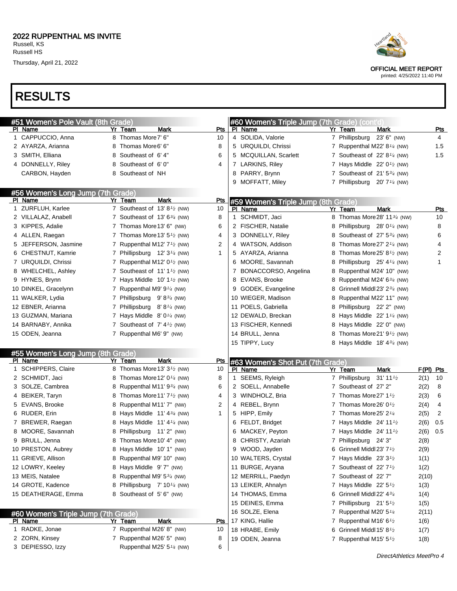





OFFICIAL MEET REPORT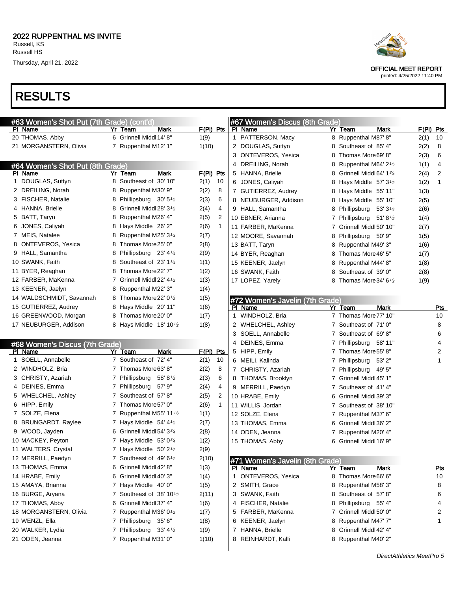# RESULTS

| #63 Women's Shot Put (7th Grade) (cont'd) |   |                                                   |             |                | #67 Women's Discus (8th Grade)  |                                      |             |              |
|-------------------------------------------|---|---------------------------------------------------|-------------|----------------|---------------------------------|--------------------------------------|-------------|--------------|
| PI Name                                   |   | Yr Team<br>Mark                                   | F(PI) Pts   |                | PI Name                         | Yr Team<br>Mark                      | $F(PI)$ Pts |              |
| 20 THOMAS, Abby                           |   | 6 Grinnell Middl 14' 8"                           | 1(9)        |                | 1 PATTERSON, Macy               | 8 Ruppenthal M87' 8"                 | 2(1)        | 10           |
| 21 MORGANSTERN, Olivia                    |   | 7 Ruppenthal M12' 1"                              | 1(10)       |                | 2 DOUGLAS, Suttyn               | 8 Southeast of 85' 4"                | 2(2)        | 8            |
|                                           |   |                                                   |             |                | 3 ONTEVEROS, Yesica             | 8 Thomas More69'8"                   | 2(3)        | 6            |
| #64 Women's Shot Put (8th Grade)          |   |                                                   |             |                | 4 DREILING, Norah               | 8 Ruppenthal M64' 2 <sup>1</sup> /2  | 1(1)        | 4            |
| PI Name                                   |   | <b>Mark</b><br>Yr Team                            | $F(PI)$ Pts |                | 5 HANNA, Brielle                | 8 Grinnell Middl 64' 1 $\frac{3}{4}$ | 2(4)        | 2            |
| 1 DOUGLAS, Suttyn                         |   | 8 Southeast of 30' 10"                            | 2(1)        | 10             | 6 JONES, Caliyah                | 8 Hays Middle $57'3'$                | 1(2)        | 1            |
| 2 DREILING, Norah                         |   | 8 Ruppenthal M30' 9"                              | 2(2)        | 8              | 7 GUTIERREZ, Audrey             | 8 Hays Middle 55' 11"                | 1(3)        |              |
| 3 FISCHER, Natalie                        |   | 8 Phillipsburg 30' 5 <sup>1</sup> /2              | 2(3)        | 6              | 8 NEUBURGER, Addison            | 8 Hays Middle 55' 10"                | 2(5)        |              |
| 4 HANNA, Brielle                          |   | 8 Grinnell Middl 28' 3 <sup>1</sup> /2            | 2(4)        | 4              | 9 HALL, Samantha                | 8 Phillipsburg 53' 3 <sup>1/4</sup>  | 2(6)        |              |
| 5 BATT, Taryn                             |   | 8 Ruppenthal M26' 4"                              | 2(5)        | $\overline{2}$ | 10 EBNER, Arianna               | 7 Phillipsburg 51'8 <sup>1</sup> /2  | 1(4)        |              |
| 6 JONES, Caliyah                          |   | 8 Hays Middle 26'2"                               | 2(6)        | $\mathbf{1}$   | 11 FARBER, MaKenna              | 7 Grinnell Middl 50' 10"             | 2(7)        |              |
| 7 MEIS, Natalee                           |   | 8 Ruppenthal M25' 3 <sup>1/4</sup>                | 2(7)        |                | 12 MOORE, Savannah              | 8 Phillipsburg 50' 9"                | 1(5)        |              |
| 8 ONTEVEROS, Yesica                       | 8 | Thomas More25' 0"                                 | 2(8)        |                | 13 BATT, Taryn                  | 8 Ruppenthal M49' 3"                 | 1(6)        |              |
| 9 HALL, Samantha                          | 8 | Phillipsburg 23' $4\frac{1}{4}$                   | 2(9)        |                | 14 BYER, Reaghan                | 8 Thomas More 46' 5"                 | 1(7)        |              |
| 10 SWANK, Faith                           | 8 | Southeast of 23' 1 <sup>1/4</sup>                 | 1(1)        |                | 15 KEENER, Jaelyn               | 8 Ruppenthal M44' 8"                 | 1(8)        |              |
| 11 BYER, Reaghan                          | 8 | Thomas More22' 7"                                 | 1(2)        |                | 16 SWANK, Faith                 | 8 Southeast of 39'0"                 | 2(8)        |              |
| 12 FARBER, MaKenna                        |   | 7 Grinnell Middl 22' 4 <sup>1</sup> /2            | 1(3)        |                | 17 LOPEZ, Yarely                | 8 Thomas More 34' 6 <sup>1</sup> /2  | 1(9)        |              |
| 13 KEENER, Jaelyn                         |   | 8 Ruppenthal M22' 3"                              | 1(4)        |                |                                 |                                      |             |              |
| 14 WALDSCHMIDT, Savannah                  |   | 8 Thomas More 22' 0 <sup>1</sup> / <sub>2</sub>   | 1(5)        |                | #72 Women's Javelin (7th Grade) |                                      |             |              |
| 15 GUTIERREZ, Audrey                      |   | 8 Hays Middle 20' 11"                             | 1(6)        |                | PI Name                         | Yr Team<br><b>Mark</b>               |             | <b>Pts</b>   |
| 16 GREENWOOD, Morgan                      | 8 | Thomas More20' 0"                                 | 1(7)        |                | 1 WINDHOLZ, Bria                | 7 Thomas More 77' 10"                |             | 10           |
| 17 NEUBURGER, Addison                     |   | 8 Hays Middle 18' 10 <sup>1</sup> /2              | 1(8)        |                | 2 WHELCHEL, Ashley              | 7 Southeast of 71'0"                 |             | 8            |
|                                           |   |                                                   |             |                | 3 SOELL, Annabelle              | 7 Southeast of 69'8"                 |             | 6            |
| #68 Women's Discus (7th Grade)            |   |                                                   |             |                | 4 DEINES, Emma                  | 7 Phillipsburg 58' 11"               |             | 4            |
| PI Name                                   |   | Yr Team<br>Mark                                   | $F(PI)$ Pts |                | 5 HIPP, Emily                   | 7 Thomas More 55' 8"                 |             | 2            |
| 1 SOELL, Annabelle                        |   | 7 Southeast of 72' 4"                             | 2(1)        | 10             | 6 MEILI, Kalinda                | 7 Phillipsburg 53' 2"                |             | $\mathbf{1}$ |
| 2 WINDHOLZ, Bria                          |   | 7 Thomas More 63' 8"                              | 2(2)        | 8              | 7 CHRISTY, Azariah              | 7 Phillipsburg 49' 5"                |             |              |
| 3 CHRISTY, Azariah                        |   | 7 Phillipsburg 58' 8 <sup>1/2</sup>               | 2(3)        | 6              | 8 THOMAS, Brooklyn              | 7 Grinnell Middl 45' 1"              |             |              |
| 4 DEINES, Emma                            |   | 7 Phillipsburg 57' 9"                             | 2(4)        | 4              | 9 MERRILL, Paedyn               | 7 Southeast of 41'4"                 |             |              |
| 5 WHELCHEL, Ashley                        |   | 7 Southeast of 57'8"                              | 2(5)        | $\overline{2}$ | 10 HRABE, Emily                 | 6 Grinnell Middl 39' 3"              |             |              |
| 6 HIPP, Emily                             |   | 7 Thomas More 57' 0"                              | 2(6)        | $\mathbf{1}$   | 11 WILLIS, Jordan               | 7 Southeast of 38' 10"               |             |              |
| 7 SOLZE, Elena                            |   | 7 Ruppenthal M55' 11 $\frac{1}{2}$                | 1(1)        |                | 12 SOLZE, Elena                 | 7 Ruppenthal M37' 6"                 |             |              |
| 8 BRUNGARDT, Raylee                       |   | 7 Hays Middle $54' 4\frac{1}{2}$                  | 2(7)        |                | 13 THOMAS, Emma                 | 6 Grinnell Middl 36' 2"              |             |              |
| 9 WOOD, Jayden                            | 6 | Grinnell Middl 54' 334                            | 2(8)        |                | 14 ODEN, Jeanna                 | 7 Ruppenthal M20' 4"                 |             |              |
| 10 MACKEY, Peyton                         |   | 7 Hays Middle $53'0\frac{3}{4}$                   | 1(2)        |                | 15 THOMAS, Abby                 | 6 Grinnell Middl 16' 9"              |             |              |
| 11 WALTERS, Crystal                       |   | 7 Hays Middle $50'$ 2 <sup>1</sup> / <sub>2</sub> | 2(9)        |                |                                 |                                      |             |              |
| 12 MERRILL, Paedyn                        |   | 7 Southeast of $49'6\frac{1}{2}$                  | 2(10)       |                | #71 Women's Javelin (8th Grade) |                                      |             |              |
| 13 THOMAS, Emma                           | 6 | Grinnell Middl 42' 8"                             | 1(3)        |                | PI Name                         | Yr Team<br>Mark                      |             | <u>Pts</u>   |
| 14 HRABE, Emily                           |   | 6 Grinnell Middl 40' 3"                           | 1(4)        |                | 1 ONTEVEROS, Yesica             | 8 Thomas More66' 6"                  |             | 10           |
| 15 AMAYA, Brianna                         |   | 7 Hays Middle 40' 0"                              | 1(5)        |                | 2 SMITH, Grace                  | 8 Ruppenthal M58' 3"                 |             | 8            |
| 16 BURGE, Aryana                          |   | 7 Southeast of 38' 10 <sup>1</sup> / <sub>2</sub> | 2(11)       |                | 3 SWANK, Faith                  | 8 Southeast of 57'8"                 |             | 6            |
| 17 THOMAS, Abby                           | 6 | Grinnell Middl 37' 4"                             | 1(6)        |                | 4 FISCHER, Natalie              | 8 Phillipsburg 55' 4"                |             | 4            |
| 18 MORGANSTERN, Olivia                    |   | 7 Ruppenthal M36' $0\frac{1}{2}$                  | 1(7)        |                | 5 FARBER, MaKenna               | 7 Grinnell Middl 50' 0"              |             | 2            |
| 19 WENZL, Ella                            |   | 7 Phillipsburg<br>35' 6"                          | 1(8)        |                | 6 KEENER, Jaelyn                | 8 Ruppenthal M47' 7"                 |             | 1            |
| 20 WALKER, Lydia                          |   | 7 Phillipsburg<br>$33' 4\frac{1}{2}$              | 1(9)        |                | 7 HANNA, Brielle                | 8 Grinnell Middl 42' 4"              |             |              |
| 21 ODEN, Jeanna                           |   | 7 Ruppenthal M31' 0"                              | 1(10)       |                | 8 REINHARDT, Kalli              | 8 Ruppenthal M40' 2"                 |             |              |
|                                           |   |                                                   |             |                |                                 |                                      |             |              |



OFFICIAL MEET REPORT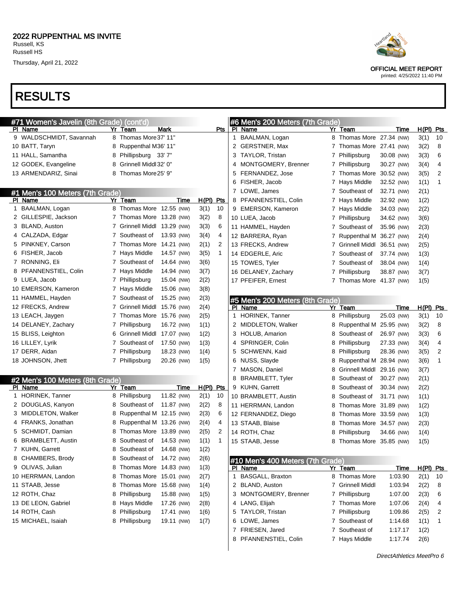# RESULTS

| #71 Women's Javelin (8th Grade) (cont'd) |                              |            |                      |              | #6 Men's 200 Meters (7th Grade)             |             |                             |            |             |            |
|------------------------------------------|------------------------------|------------|----------------------|--------------|---------------------------------------------|-------------|-----------------------------|------------|-------------|------------|
| PI Name                                  | <b>Mark</b><br>Yr Team       |            | Pts                  |              | PI Name                                     |             | Yr Team                     | Time       | $H(PI)$ Pts |            |
| 9 WALDSCHMIDT, Savannah                  | 8 Thomas More 37' 11"        |            |                      | $\mathbf{1}$ | BAALMAN, Logan                              |             | 8 Thomas More 27.34 (NW)    |            | 3(1)        | 10         |
| 10 BATT, Taryn                           | Ruppenthal M36' 11"<br>8     |            |                      | 2            | GERSTNER, Max                               |             | 7 Thomas More 27.41 (NW)    |            | 3(2)        | 8          |
| 11 HALL, Samantha                        | 8<br>Phillipsburg 33'7"      |            |                      | 3            | TAYLOR, Tristan                             |             | 7 Phillipsburg              | 30.08 (NW) | 3(3)        | 6          |
| 12 GODEK, Evangeline                     | Grinnell Middl 32' 0"<br>8   |            |                      | 4            | MONTGOMERY, Brenner                         |             | 7 Phillipsburg              | 30.27 (NW) | 3(4)        | 4          |
| 13 ARMENDARIZ, Sinai                     | Thomas More25' 9"<br>8       |            |                      | 5            | FERNANDEZ, Jose                             | $7^{\circ}$ | Thomas More 30.52 (NW)      |            | 3(5)        | 2          |
|                                          |                              |            |                      | 6            | FISHER, Jacob                               |             | 7 Hays Middle               | 32.52 (NW) | 1(1)        | 1          |
| #1 Men's 100 Meters (7th Grade)          |                              |            |                      |              | 7 LOWE, James                               |             | 7 Southeast of              | 32.71 (NW) | 2(1)        |            |
| PI Name                                  | Yr Team                      | Time       | $H(PI)$ Pts          | 8            | PFANNENSTIEL, Colin                         |             | 7 Hays Middle               | 32.92 (NW) | 1(2)        |            |
| 1 BAALMAN, Logan                         | 8 Thomas More 12.55 (NW)     |            | 3(1)<br>10           | 9            | <b>EMERSON, Kameron</b>                     |             | 7 Hays Middle               | 34.03 (NW) | 2(2)        |            |
| 2 GILLESPIE, Jackson                     | 7 Thomas More 13.28 (NW)     |            | 3(2)<br>8            |              | 10 LUEA, Jacob                              |             | 7 Phillipsburg              | 34.62 (NW) | 3(6)        |            |
| 3 BLAND, Auston                          | 7 Grinnell Middl 13.29 (NW)  |            | 6<br>3(3)            |              | 11 HAMMEL, Hayden                           |             | 7 Southeast of              | 35.96 (NW) | 2(3)        |            |
| 4 CALZADA, Edgar                         | 7 Southeast of               | 13.93 (NW) | 3(4)<br>4            |              | 12 BARRERA, Ryan                            |             | 7 Ruppenthal M              | 36.27 (NW) | 2(4)        |            |
| 5 PINKNEY, Carson                        | 7 Thomas More 14.21 (NW)     |            | 2<br>2(1)            |              | 13 FRECKS, Andrew                           |             | 7 Grinnell Middl            | 36.51 (NW) | 2(5)        |            |
| 6 FISHER, Jacob                          | 7 Hays Middle                | 14.57 (NW) | 3(5)<br>$\mathbf{1}$ |              | 14 EDGERLE, Aric                            | 7           | Southeast of                | 37.74 (NW) | 1(3)        |            |
| 7 RONNING, Eli                           | 7 Southeast of               | 14.64 (NW) | 3(6)                 |              | 15 TOWES, Tyler                             | 7           | Southeast of                | 38.04 (NW) | 1(4)        |            |
| 8 PFANNENSTIEL, Colin                    | 7 Hays Middle                | 14.94 (NW) | 3(7)                 |              | 16 DELANEY, Zachary                         |             | 7 Phillipsburg              | 38.87 (NW) | 3(7)        |            |
| 9 LUEA, Jacob                            | 7 Phillipsburg               | 15.04 (NW) | 2(2)                 |              | 17 PFEIFER, Ernest                          |             | 7 Thomas More 41.37 (NW)    |            | 1(5)        |            |
| 10 EMERSON, Kameron                      | 7 Hays Middle                | 15.06 (NW) | 3(8)                 |              |                                             |             |                             |            |             |            |
| 11 HAMMEL, Hayden                        | 7 Southeast of               | 15.25 (NW) | 2(3)                 |              | #5 Men's 200 Meters (8th Grade)             |             |                             |            |             |            |
| 12 FRECKS, Andrew                        | 7 Grinnell Middl             | 15.76 (NW) | 2(4)                 |              | PI Name                                     |             | Yr Team                     | Time       | H(PI)       | <b>Pts</b> |
| 13 LEACH, Jaygen                         | 7 Thomas More 15.76 (NW)     |            | 2(5)                 | 1.           | HORINEK, Tanner                             |             | 8 Phillipsburg              | 25.03 (NW) | 3(1)        | 10         |
| 14 DELANEY, Zachary                      | 7 Phillipsburg               | 16.72 (NW) | 1(1)                 |              | 2 MIDDLETON, Walker                         |             | 8 Ruppenthal M 25.95 (NW)   |            | 3(2)        | 8          |
| 15 BLISS, Leighton                       | 6 Grinnell Middl 17.07 (NW)  |            | 1(2)                 |              | 3 HOLUB, Amarion                            |             | 8 Southeast of              | 26.97 (NW) | 3(3)        | 6          |
| 16 LILLEY, Lyrik                         | 7 Southeast of               | 17.50 (NW) | 1(3)                 |              | 4 SPRINGER, Colin                           |             | 8 Phillipsburg              | 27.33 (NW) | 3(4)        | 4          |
| 17 DERR, Aidan                           | 7 Phillipsburg               | 18.23 (NW) | 1(4)                 | 5            | SCHWENN, Kaid                               |             | 8 Phillipsburg              | 28.36 (NW) | 3(5)        | 2          |
| 18 JOHNSON, Jhett                        | 7 Phillipsburg               | 20.26 (NW) | 1(5)                 | 6            | NUSS, Slayde                                |             | 8 Ruppenthal M 28.94 (NW)   |            | 3(6)        | 1          |
|                                          |                              |            |                      |              | 7 MASON, Daniel                             |             | 8 Grinnell Middl 29.16 (NW) |            | 3(7)        |            |
| #2 Men's 100 Meters (8th Grade)          |                              |            |                      | 8            | <b>BRAMBLETT, Tyler</b>                     | 8           | Southeast of                | 30.27 (NW) | 2(1)        |            |
| PI Name                                  | Yr Team                      | Time       | $H(PI)$ Pts          |              | 9 KUHN, Garrett                             | 8           | Southeast of                | 30.34 (NW) | 2(2)        |            |
| 1 HORINEK, Tanner                        | 8 Phillipsburg               | 11.82 (NW) | 10<br>2(1)           |              | 10 BRAMBLETT, Austin                        |             | 8 Southeast of              | 31.71 (NW) | 1(1)        |            |
| 2 DOUGLAS, Kanyon                        | Southeast of<br>8            | 11.87 (NW) | 2(2)<br>8            |              | 11 HERRMAN, Landon                          | 8           | Thomas More 31.89 (NW)      |            | 1(2)        |            |
| 3 MIDDLETON, Walker                      | Ruppenthal M 12.15 (NW)<br>8 |            | 6<br>2(3)            |              | 12 FERNANDEZ, Diego                         | 8           | Thomas More 33.59 (NW)      |            | 1(3)        |            |
| 4 FRANKS, Jonathan                       | Ruppenthal M 13.26 (NW)<br>8 |            | 2(4)<br>4            |              | 13 STAAB, Blaise                            | 8           | Thomas More 34.57 (NW)      |            | 2(3)        |            |
| 5 SCHMIDT, Damian                        | Thomas More 13.89 (NW)<br>8  |            | 2<br>2(5)            |              | 14 ROTH, Chaz                               | 8           | Phillipsburg                | 34.66 (NW) | 1(4)        |            |
| 6 BRAMBLETT, Austin                      | Southeast of<br>8            | 14.53 (NW) | 1(1)<br>1            |              | 15 STAAB, Jesse                             |             | 8 Thomas More 35.85 (NW)    |            | 1(5)        |            |
| 7 KUHN, Garrett                          | 8<br>Southeast of            | 14.68 (NW) | 1(2)                 |              |                                             |             |                             |            |             |            |
| 8 CHAMBERS, Brody                        | 8 Southeast of               | 14.72 (NW) | 2(6)                 |              |                                             |             |                             |            |             |            |
| 9 OLIVAS, Julian                         | 8 Thomas More 14.83 (NW)     |            | 1(3)                 |              | #10 Men's 400 Meters (7th Grade)<br>PI Name |             | Yr Team                     | Time       | $H(PI)$ Pts |            |
| 10 HERRMAN, Landon                       | 8 Thomas More 15.01 (NW)     |            | 2(7)                 | 1            | BASGALL, Braxton                            |             | 8 Thomas More               | 1:03.90    | 2(1)        | 10         |
| 11 STAAB, Jesse                          | 8 Thomas More 15.68 (NW)     |            | 1(4)                 |              | 2 BLAND, Auston                             |             | 7 Grinnell Middl            | 1:03.94    | 2(2)        | 8          |
| 12 ROTH, Chaz                            | 8 Phillipsburg               | 15.88 (NW) | 1(5)                 |              | 3 MONTGOMERY, Brenner                       |             | 7 Phillipsburg              | 1:07.00    |             | 6          |
| 13 DE LEON, Gabriel                      | 8 Hays Middle                | 17.26 (NW) |                      |              | 4 LANG, Elijah                              |             | 7 Thomas More               | 1:07.06    | 2(3)        | 4          |
|                                          |                              |            | 2(8)                 |              |                                             |             |                             |            | 2(4)        |            |
| 14 ROTH, Cash                            | 8 Phillipsburg               | 17.41 (NW) | 1(6)                 |              | 5 TAYLOR, Tristan<br>6 LOWE, James          |             | 7 Phillipsburg              | 1:09.86    | 2(5)        | 2          |
| 15 MICHAEL, Isaiah                       | 8 Phillipsburg               | 19.11 (NW) | 1(7)                 |              |                                             |             | 7 Southeast of              | 1:14.68    | 1(1)        | 1          |
|                                          |                              |            |                      |              | 7 FRIESEN, Jared                            |             | 7 Southeast of              | 1:17.17    | 1(2)        |            |
|                                          |                              |            |                      |              | 8 PFANNENSTIEL, Colin                       |             | 7 Hays Middle               | 1:17.74    | 2(6)        |            |



OFFICIAL MEET REPORT

printed: 4/25/2022 11:40 PM

DirectAthletics MeetPro 6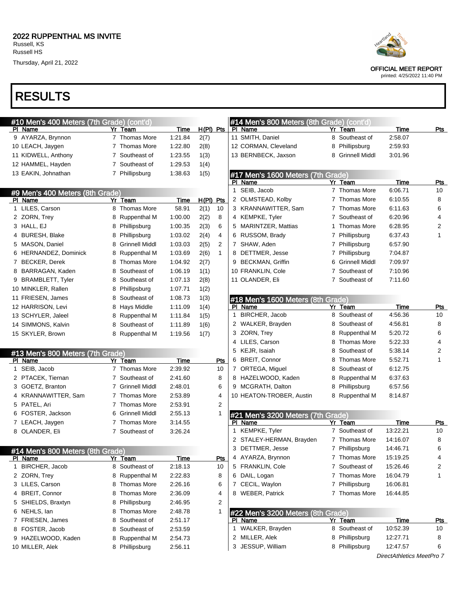

| #10 Men's 400 Meters (7th Grade) (cont'd) |                  |             |             |                |              | #14 Men's 800 Meters (8th Grade) (cont'd) |   |                       |                           |            |
|-------------------------------------------|------------------|-------------|-------------|----------------|--------------|-------------------------------------------|---|-----------------------|---------------------------|------------|
| PI Name                                   | Yr Team          | Time        | $H(PI)$ Pts |                |              | PI Name                                   |   | Yr Team               | Time                      | Pts        |
| 9 AYARZA, Brynnon                         | 7 Thomas More    | 1:21.84     | 2(7)        |                |              | 11 SMITH, Daniel                          |   | 8 Southeast of        | 2:58.07                   |            |
| 10 LEACH, Jaygen                          | 7 Thomas More    | 1:22.80     | 2(8)        |                |              | 12 CORMAN, Cleveland                      | 8 | Phillipsburg          | 2:59.93                   |            |
| 11 KIDWELL, Anthony                       | 7 Southeast of   | 1:23.55     | 1(3)        |                |              | 13 BERNBECK, Jaxson                       | 8 | <b>Grinnell Middl</b> | 3:01.96                   |            |
| 12 HAMMEL, Hayden                         | 7 Southeast of   | 1:29.53     | 1(4)        |                |              |                                           |   |                       |                           |            |
| 13 EAKIN, Johnathan                       | 7 Phillipsburg   | 1:38.63     | 1(5)        |                |              | #17 Men's 1600 Meters (7th Grade)         |   |                       |                           |            |
|                                           |                  |             |             |                |              | PI Name                                   |   | Yr Team               | Time                      | Pts        |
| #9 Men's 400 Meters (8th Grade)           |                  |             |             |                |              | 1 SEIB, Jacob                             |   | 7 Thomas More         | 6:06.71                   | 10         |
| PI Name                                   | Yr Team          | Time        | $H(PI)$ Pts |                |              | 2 OLMSTEAD, Kolby                         |   | 7 Thomas More         | 6:10.55                   | 8          |
| 1 LILES, Carson                           | 8 Thomas More    | 58.91       | 2(1)        | 10             |              | 3 KRANNAWITTER, Sam                       |   | 7 Thomas More         | 6:11.63                   | 6          |
| 2 ZORN, Trey                              | 8 Ruppenthal M   | 1:00.00     | 2(2)        | 8              |              | 4 KEMPKE, Tyler                           |   | 7 Southeast of        | 6:20.96                   | 4          |
| 3 HALL, EJ                                | 8 Phillipsburg   | 1:00.35     | 2(3)        | 6              |              | 5 MARINTZER, Mattias                      | 1 | Thomas More           | 6:28.95                   | 2          |
| 4 BURESH, Blake                           | 8 Phillipsburg   | 1:03.02     | 2(4)        | 4              |              | 6 RUSSOM, Brady                           |   | 7 Phillipsburg        | 6:37.43                   | 1          |
| 5 MASON, Daniel                           | 8 Grinnell Middl | 1:03.03     | 2(5)        | $\overline{2}$ |              | 7 SHAW, Aden                              |   | 7 Phillipsburg        | 6:57.90                   |            |
| 6 HERNANDEZ, Dominick                     | 8 Ruppenthal M   | 1:03.69     | 2(6)        | $\mathbf{1}$   |              | 8 DETTMER, Jesse                          |   | 7 Phillipsburg        | 7:04.87                   |            |
| 7 BECKER, Derek                           | 8 Thomas More    | 1:04.92     | 2(7)        |                |              | 9 BECKMAN, Griffin                        | 6 | <b>Grinnell Middl</b> | 7:09.97                   |            |
| 8 BARRAGAN, Kaden                         | 8 Southeast of   | 1:06.19     | 1(1)        |                |              | 10 FRANKLIN, Cole                         | 7 | Southeast of          | 7:10.96                   |            |
| 9 BRAMBLETT, Tyler                        | 8 Southeast of   | 1:07.13     | 2(8)        |                |              | 11 OLANDER, Eli                           |   | 7 Southeast of        | 7:11.60                   |            |
| 10 MINKLER, Rallen                        | 8 Phillipsburg   | 1:07.71     | 1(2)        |                |              |                                           |   |                       |                           |            |
| 11 FRIESEN, James                         | 8 Southeast of   | 1:08.73     | 1(3)        |                |              | #18 Men's 1600 Meters (8th Grade)         |   |                       |                           |            |
| 12 HARRISON, Levi                         | 8 Hays Middle    | 1:11.09     | 1(4)        |                |              | PI Name                                   |   | Yr Team               | Time                      | Pts        |
| 13 SCHYLER, Jaleel                        | 8 Ruppenthal M   | 1:11.84     | 1(5)        |                | $\mathbf{1}$ | BIRCHER, Jacob                            |   | 8 Southeast of        | 4:56.36                   | 10         |
| 14 SIMMONS, Kalvin                        | 8 Southeast of   | 1:11.89     | 1(6)        |                |              | 2 WALKER, Brayden                         | 8 | Southeast of          | 4:56.81                   | 8          |
| 15 SKYLER, Brown                          | 8 Ruppenthal M   | 1:19.56     | 1(7)        |                |              | 3 ZORN, Trey                              |   | 8 Ruppenthal M        | 5:20.72                   | 6          |
|                                           |                  |             |             |                |              | 4 LILES, Carson                           | 8 | Thomas More           | 5:22.33                   | 4          |
| #13 Men's 800 Meters (7th Grade)          |                  |             |             |                |              | 5 KEJR, Isaiah                            | 8 | Southeast of          | 5:38.14                   | 2          |
| PI Name                                   | Yr Team          | Time        |             | Pts            |              | 6 BREIT, Connor                           | 8 | <b>Thomas More</b>    | 5:52.71                   | 1          |
| 1 SEIB, Jacob                             | 7 Thomas More    | 2:39.92     |             | 10             |              | 7 ORTEGA, Miguel                          | 8 | Southeast of          | 6:12.75                   |            |
| 2 PTACEK, Tiernan                         | 7 Southeast of   | 2:41.60     |             | 8              |              | 8 HAZELWOOD, Kaden                        | 8 | <b>Ruppenthal M</b>   | 6:37.63                   |            |
| 3 GOETZ, Branton                          | 7 Grinnell Middl | 2:48.01     |             | 6              |              | 9 MCGRATH, Dalton                         | 8 | Phillipsburg          | 6:57.56                   |            |
| 4 KRANNAWITTER, Sam                       | 7 Thomas More    | 2:53.89     |             | 4              |              | 10 HEATON-TROBER, Austin                  |   | 8 Ruppenthal M        | 8:14.87                   |            |
| 5 PATEL, Ari                              | 7 Thomas More    | 2:53.91     |             | $\overline{2}$ |              |                                           |   |                       |                           |            |
| 6 FOSTER, Jackson                         | 6 Grinnell Middl | 2:55.13     |             | 1              |              | #21 Men's 3200 Meters (7th Grade)         |   |                       |                           |            |
| 7 LEACH, Jaygen                           | 7 Thomas More    | 3:14.55     |             |                |              | PI Name                                   |   | Yr Team               | Time                      | <b>Pts</b> |
| 8 OLANDER, Eli                            | 7 Southeast of   | 3:26.24     |             |                |              | 1 KEMPKE, Tyler                           |   | 7 Southeast of        | 13:22.21                  | 10         |
|                                           |                  |             |             |                |              | 2 STALEY-HERMAN, Brayden                  |   | 7 Thomas More         | 14:16.07                  | 8          |
| #14 Men's 800 Meters (8th Grade)          |                  |             |             |                |              | 3 DETTMER, Jesse                          |   | 7 Phillipsburg        | 14:46.71                  | 6          |
| PI Name                                   | Yr Team          | <b>Time</b> |             | <u>Pts</u>     |              | 4 AYARZA, Brynnon                         |   | 7 Thomas More         | 15:19.25                  | 4          |
| 1 BIRCHER, Jacob                          | 8 Southeast of   | 2:18.13     |             | 10             |              | 5 FRANKLIN, Cole                          |   | 7 Southeast of        | 15:26.46                  | 2          |
| 2 ZORN, Trey                              | 8 Ruppenthal M   | 2:22.83     |             | 8              |              | 6 DAIL, Logan                             |   | 7 Thomas More         | 16:04.79                  | 1          |
| 3 LILES, Carson                           | 8 Thomas More    | 2:26.16     |             | 6              |              | 7 CECIL, Waylon                           |   | 7 Phillipsburg        | 16:06.81                  |            |
| 4 BREIT, Connor                           | 8 Thomas More    | 2:36.09     |             | 4              |              | 8 WEBER, Patrick                          |   | 7 Thomas More         | 16:44.85                  |            |
| 5 SHIELDS, Braxtyn                        | 8 Phillipsburg   | 2:46.95     |             | 2              |              |                                           |   |                       |                           |            |
| 6 NEHLS, lan                              | 8 Thomas More    | 2:48.78     |             | 1              |              | #22 Men's 3200 Meters (8th Grade)         |   |                       |                           |            |
| 7 FRIESEN, James                          | 8 Southeast of   | 2:51.17     |             |                |              | PI Name                                   |   | Yr Team               | Time                      | <u>Pts</u> |
| 8 FOSTER, Jacob                           | 8 Southeast of   | 2:53.59     |             |                |              | 1 WALKER, Brayden                         |   | 8 Southeast of        | 10:52.39                  | 10         |
| 9 HAZELWOOD, Kaden                        | 8 Ruppenthal M   | 2:54.73     |             |                |              | 2 MILLER, Alek                            |   | 8 Phillipsburg        | 12:27.71                  | 8          |
| 10 MILLER, Alek                           | 8 Phillipsburg   | 2:56.11     |             |                |              | 3 JESSUP, William                         |   | 8 Phillipsburg        | 12:47.57                  | 6          |
|                                           |                  |             |             |                |              |                                           |   |                       | DirectAthletics MeetPro 7 |            |
|                                           |                  |             |             |                |              |                                           |   |                       |                           |            |



OFFICIAL MEET REPORT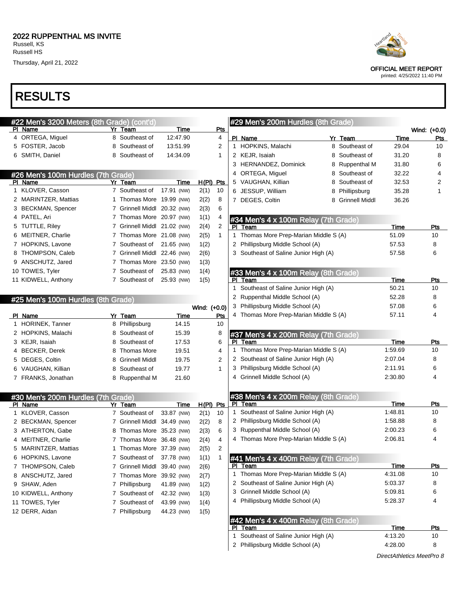#### RESULTS

|              | #22 Men's 3200 Meters (8th Grade) (cont'd)    |    |                             |             |              |                | #              |
|--------------|-----------------------------------------------|----|-----------------------------|-------------|--------------|----------------|----------------|
| PI           | Name                                          | Yr | Team                        | Time        |              | Pts            |                |
|              | 4 ORTEGA, Miguel                              |    | 8 Southeast of              | 12:47.90    |              | 4              | P              |
|              | 5 FOSTER, Jacob                               |    | 8 Southeast of              | 13:51.99    |              | 2              | 1              |
|              | 6 SMITH, Daniel                               |    | 8 Southeast of              | 14:34.09    |              | 1              | $\overline{2}$ |
|              |                                               |    |                             |             |              |                | 3              |
|              | #26 Men's 100m Hurdles (7th Grade)            |    |                             |             |              |                | 4              |
|              | PI Name                                       |    | Yr Team                     | Time        | H(PI) Pts    |                | 5              |
| 1            | KLOVER, Casson                                |    | 7 Southeast of              | 17.91 (NW)  | 2(1)         | 10             | 6              |
|              | 2 MARINTZER, Mattias                          |    | 1 Thomas More               | 19.99 (NW)  | 2(2)         | 8              | $\overline{7}$ |
|              | 3 BECKMAN, Spencer                            |    | 7 Grinnell Middl            | 20.32 (NW)  | 2(3)         | 6              |                |
|              | 4 PATEL, Ari                                  |    | 7 Thomas More               | 20.97 (NW)  | 1(1)         | 4              | #3             |
| 5            | TUTTLE, Riley                                 |    | 7 Grinnell Middl            | 21.02 (NW)  | 2(4)         | $\overline{2}$ | PI             |
| 6            | MEITNER, Charlie                              |    | 7 Thomas More 21.08 (NW)    |             | 2(5)         | 1              | 1              |
|              | 7 HOPKINS, Lavone                             |    | 7 Southeast of              | 21.65 (NW)  | 1(2)         |                | 2              |
| 8            | THOMPSON, Caleb                               |    | 7 Grinnell Middl 22.46 (NW) |             | 2(6)         |                | 3              |
|              | 9 ANSCHUTZ, Jared                             |    | 7 Thomas More 23.50 (NW)    |             | 1(3)         |                |                |
|              | 10 TOWES, Tyler                               |    | 7 Southeast of              | 25.83 (NW)  | 1(4)         |                | #3             |
|              | 11 KIDWELL, Anthony                           |    | 7 Southeast of              | 25.93 (NW)  | 1(5)         |                | PI             |
|              |                                               |    |                             |             |              |                | 1              |
|              | #25 Men's 100m Hurdles (8th Grade)            |    |                             |             |              |                | $\overline{2}$ |
|              |                                               |    |                             |             | Wind: (+0.0) |                | 3              |
|              | PI Name                                       |    | Yr Team                     | <u>Time</u> |              | Pts            | 4              |
| 1            | <b>HORINEK, Tanner</b>                        |    | 8 Phillipsburg              | 14.15       |              | 10             |                |
|              | 2 HOPKINS, Malachi                            |    | 8 Southeast of              | 15.39       |              | 8              | #              |
|              | 3 KEJR, Isaiah                                |    | 8 Southeast of              | 17.53       |              | 6              | PI             |
|              |                                               |    |                             |             |              |                |                |
|              | 4 BECKER, Derek                               |    | 8 Thomas More               | 19.51       |              | 4              | 1              |
|              | 5 DEGES, Coltin                               |    | 8 Grinnell Middl            | 19.75       |              | 2              | 2              |
|              | 6 VAUGHAN, Killian                            |    | 8 Southeast of              | 19.77       |              | 1              | 3              |
|              | 7 FRANKS, Jonathan                            |    | 8 Ruppenthal M              | 21.60       |              |                | 4              |
|              |                                               |    |                             |             |              |                |                |
|              |                                               |    |                             |             |              |                | #              |
|              | #30 Men's 200m Hurdles (7th Grade)<br>PI Name |    | <u>Yr Team</u>              | <u>Time</u> | H(PI) Pts    |                | PI             |
| $\mathbf{1}$ | KLOVER, Casson                                |    | 7 Southeast of              | 33.87 (NW)  | 2(1)         | 10             | 1              |
|              | 2 BECKMAN, Spencer                            |    | 7 Grinnell Middl            | 34.49 (NW)  | 2(2)         | 8              | 2              |
|              | 3 ATHERTON, Gabe                              |    | 8 Thomas More 35.23 (NW)    |             | 2(3)         | 6              | 3              |
|              | 4 MEITNER, Charlie                            |    | 7 Thomas More 36.48 (NW)    |             | 2(4)         | 4              | $\overline{4}$ |
| 5            | MARINTZER, Mattias                            | 1  | Thomas More 37.39 (NW)      |             | 2(5)         | 2              |                |

 THOMPSON, Caleb 7 Grinnell Middl 39.40 (NW) 2(6) 8 ANSCHUTZ, Jared 7 Thomas More 39.92 (NW) 2(7) SHAW, Aden 7 Phillipsburg 41.89 (NW) 1(2) KIDWELL, Anthony 7 Southeast of 42.32 (NW) 1(3) 11 TOWES, Tyler 7 Southeast of 43.99 (NW) 1(4) DERR, Aidan 7 Phillipsburg 44.23 (NW) 1(5)

#### 29 Men's 200m Hurdles (8th Grade) Wind: (+0.0) Name Pts 1 HOPKINS, Malachi 8 Southeast of 29.04 10 2 KEJR, Isaiah 8 Southeast of 31.20 8 3 HERNANDEZ, Dominick 8 Ruppenthal M 31.80 6 ORTEGA, Miguel 8 Southeast of 32.22 4 VAUGHAN, Killian 8 Southeast of 32.53 2 JESSUP, William **8 Phillipsburg 35.28** 1 DEGES, Coltin 8 Grinnell Middl 36.26 34 Men's 4 x 100m Relay (7th Grade) PI Team Pts Thomas More Prep-Marian Middle S (A) 51.09 10 Phillipsburg Middle School (A) 57.53 8 Southeast of Saline Junior High (A) 57.58 6 #33 Men's 4 x 100m Relay (8th Grade) PI Team Pts Southeast of Saline Junior High (A) 50.21 10 Ruppenthal Middle School (A) 52.28 8 Phillipsburg Middle School (A) 57.08 6 Thomas More Prep-Marian Middle S (A) 57.11 4 3**7 Men's 4 x 200m Relay (7th Grade**) PI Team Pts Thomas More Prep-Marian Middle S (A) 1:59.69 10 Southeast of Saline Junior High (A) 2:07.04 8 Phillipsburg Middle School (A) 2:11.91 6 4 Grinnell Middle School (A) 2:30.80 4 #38 Men's 4 x 200m Relay (8th Grade) PI Team Pts Southeast of Saline Junior High (A) 1:48.81 10 Phillipsburg Middle School (A) 1:58.88 8 3 Ruppenthal Middle School (A) 2:00.23 6 Thomas More Prep-Marian Middle S (A) 2:06.81 4 11 Men's 4 x 400m Relay (7th Grade) PI Team Pts 1 Thomas More Prep-Marian Middle S (A) 4:31.08 10 2 Southeast of Saline Junior High (A) 5:03.37 8 3 Grinnell Middle School (A) 5:09.81 6 4 Phillipsburg Middle School (A) 5:28.37 4 #42 Men's 4 x 400m Relay (8th Grade) PI Team Pts 1 Southeast of Saline Junior High (A) 4:13.20 10 2 Phillipsburg Middle School (A) 4:28.00 8



OFFICIAL MEET REPORT

printed: 4/25/2022 11:40 PM

DirectAthletics MeetPro 8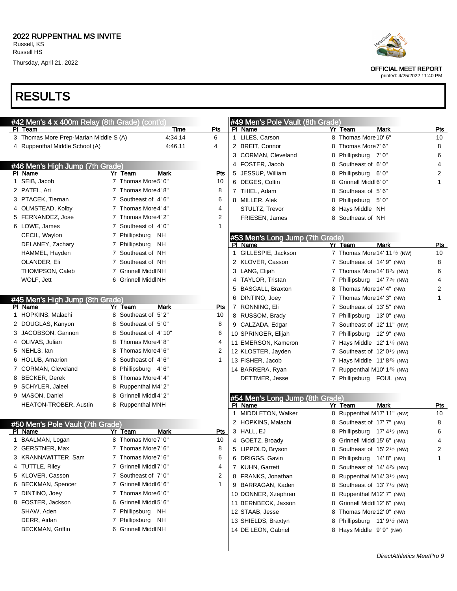# RESULTS

| #42 Men's 4 x 400m Relay (8th Grade) (cont'd) |   |                        |              |   | #49 Men's Pole Vault (8th Grade) |   |                                                       |            |
|-----------------------------------------------|---|------------------------|--------------|---|----------------------------------|---|-------------------------------------------------------|------------|
| PI Team                                       |   | <b>Time</b>            | Pts          |   | PI Name                          |   | Yr Team<br><b>Mark</b>                                | <b>Pts</b> |
| 3 Thomas More Prep-Marian Middle S (A)        |   | 4:34.14                | 6            |   | 1 LILES, Carson                  | 8 | Thomas More 10' 6"                                    | 10         |
| 4 Ruppenthal Middle School (A)                |   | 4:46.11                | 4            |   | 2 BREIT, Connor                  | 8 | Thomas More 7' 6"                                     | 8          |
|                                               |   |                        |              |   | 3 CORMAN, Cleveland              | 8 | Phillipsburg 7' 0"                                    | 6          |
| #46 Men's High Jump (7th Grade)               |   |                        |              |   | 4 FOSTER, Jacob                  | 8 | Southeast of 6'0"                                     | 4          |
| PI Name                                       |   | Yr Team<br>Mark        | Pts          |   | 5 JESSUP, William                | 8 | Phillipsburg 6' 0"                                    | 2          |
| 1 SEIB, Jacob                                 |   | 7 Thomas More5' 0"     | 10           |   | 6 DEGES, Coltin                  | 8 | Grinnell Middl 6' 0"                                  | 1          |
| 2 PATEL, Ari                                  |   | 7 Thomas More4' 8"     | 8            |   | 7 THIEL, Adam                    | 8 | Southeast of 5'6"                                     |            |
| 3 PTACEK, Tiernan                             |   | 7 Southeast of 4'6"    | 6            |   | 8 MILLER, Alek                   | 8 | Phillipsburg<br>- 5' 0"                               |            |
| 4 OLMSTEAD, Kolby                             |   | 7 Thomas More4' 4"     | 4            |   | STULTZ, Trevor                   | 8 | Hays Middle NH                                        |            |
| 5 FERNANDEZ, Jose                             |   | 7 Thomas More4' 2"     | 2            |   | FRIESEN, James                   | 8 | Southeast of NH                                       |            |
| 6 LOWE, James                                 |   | 7 Southeast of 4'0"    | 1            |   |                                  |   |                                                       |            |
| CECIL, Waylon                                 |   | 7 Phillipsburg<br>NH.  |              |   | #53 Men's Long Jump (7th Grade)  |   |                                                       |            |
| DELANEY, Zachary                              |   | 7 Phillipsburg<br>NH   |              |   | PI Name                          |   | Yr Team<br><b>Mark</b>                                | <b>Pts</b> |
| HAMMEL, Hayden                                |   | 7 Southeast of NH      |              |   | 1 GILLESPIE, Jackson             |   | 7 Thomas More 14' 11 <sup>1</sup> / <sub>2</sub> (NW) | 10         |
| OLANDER, Eli                                  |   | 7 Southeast of NH      |              |   | 2 KLOVER, Casson                 |   | 7 Southeast of 14' 9" (NW)                            | 8          |
| THOMPSON, Caleb                               |   | 7 Grinnell Middl NH    |              |   | 3 LANG, Elijah                   |   | 7 Thomas More 14' 83/4 (NW)                           | 6          |
| WOLF, Jett                                    |   | 6 Grinnell Middl NH    |              |   | 4 TAYLOR, Tristan                |   | 7 Phillipsburg 14' 7 <sup>3/4</sup> (NW)              | 4          |
|                                               |   |                        |              |   | 5 BASGALL, Braxton               |   | 8 Thomas More 14' 4" (NW)                             | 2          |
| #45 Men's High Jump (8th Grade)               |   |                        |              |   | 6 DINTINO, Joey                  |   | 7 Thomas More 14' 3" (NW)                             | 1          |
| PI Name                                       |   | Yr Team<br>Mark        | Pts          |   | 7 RONNING, Eli                   |   | 7 Southeast of 13' 5" (NW)                            |            |
| 1 HOPKINS, Malachi                            |   | 8 Southeast of 5'2"    | 10           |   | 8 RUSSOM, Brady                  |   | 7 Phillipsburg 13' 0" (NW)                            |            |
| 2 DOUGLAS, Kanyon                             |   | 8 Southeast of 5'0"    | 8            |   | 9 CALZADA, Edgar                 |   | 7 Southeast of 12' 11" (NW)                           |            |
| 3 JACOBSON, Gannon                            |   | 8 Southeast of 4'10"   | 6            |   | 10 SPRINGER, Elijah              |   | 7 Phillipsburg 12' 9" (NW)                            |            |
| 4 OLIVAS, Julian                              |   | 8 Thomas More4' 8"     | 4            |   | 11 EMERSON, Kameron              |   | 7 Hays Middle $12'$ 1 <sup>1/4</sup> (NW)             |            |
| 5 NEHLS, lan                                  |   | 8 Thomas More4' 6"     | 2            |   | 12 KLOSTER, Jayden               |   | 7 Southeast of $12' 01⁄2$ (NW)                        |            |
| 6 HOLUB, Amarion                              |   | 8 Southeast of 4'6"    | 1            |   | 13 FISHER, Jacob                 |   | 7 Hays Middle $11' 8\frac{3}{4}$ (NW)                 |            |
| 7 CORMAN, Cleveland                           |   | 8 Phillipsburg 4'6"    |              |   | 14 BARRERA, Ryan                 |   | 7 Ruppenthal M10' $1\frac{3}{4}$ (NW)                 |            |
| 8 BECKER, Derek                               |   | 8 Thomas More4' 4"     |              |   | DETTMER, Jesse                   |   | 7 Phillipsburg FOUL (NW)                              |            |
| 9 SCHYLER, Jaleel                             |   | 8 Ruppenthal M4' 2"    |              |   |                                  |   |                                                       |            |
| 9 MASON, Daniel                               | 8 | Grinnell Middl 4' 2"   |              |   | #54 Men's Long Jump (8th Grade)  |   |                                                       |            |
| <b>HEATON-TROBER, Austin</b>                  |   | 8 Ruppenthal MNH       |              |   | PI Name                          |   | <b>Mark</b><br>Yr Team                                | Pts        |
|                                               |   |                        |              |   | 1 MIDDLETON, Walker              |   | 8 Ruppenthal M17' 11" (NW)                            | 10         |
| #50 Men's Pole Vault (7th Grade)              |   |                        |              |   | 2 HOPKINS, Malachi               |   | 8 Southeast of 17' 7" (NW)                            | 8          |
| PI Name                                       |   | Mark<br>Yr Team        | <u>Pts</u>   |   | 3 HALL, EJ                       | 8 | Phillipsburg $17' 41$ (NW)                            | 6          |
| 1 BAALMAN, Logan                              |   | 8 Thomas More 7' 0"    | 10           |   | 4 GOETZ, Broady                  | 8 | Grinnell Middl 15' 6" (NW)                            | 4          |
| 2 GERSTNER, Max                               |   | 7 Thomas More7' 6"     | 8            | 5 | LIPPOLD, Bryson                  | 8 | Southeast of $15'2'$ (NW)                             | 2          |
| 3 KRANNAWITTER, Sam                           |   | 7 Thomas More7' 6"     | 6            |   | 6 DRIGGS, Gavin                  |   | 8 Phillipsburg 14' 8" (NW)                            | 1          |
| 4 TUTTLE, Riley                               |   | 7 Grinnell Middl 7' 0" | 4            |   | 7 KUHN, Garrett                  |   | 8 Southeast of 14' 434 (NW)                           |            |
| 5 KLOVER, Casson                              |   | 7 Southeast of 7' 0"   | 2            |   | 8 FRANKS, Jonathan               | 8 | Ruppenthal M14' $3\frac{1}{2}$ (NW)                   |            |
| 6 BECKMAN, Spencer                            |   | 7 Grinnell Middl 6' 6" | $\mathbf{1}$ |   | 9 BARRAGAN, Kaden                | 8 | Southeast of 13' 7 <sup>1/4</sup> (NW)                |            |
| 7 DINTINO, Joey                               |   | 7 Thomas More6' 0"     |              |   | 10 DONNER, Xzephren              | 8 | Ruppenthal M12' 7" (NW)                               |            |
| 8 FOSTER, Jackson                             |   | 6 Grinnell Middl 5' 6" |              |   | 11 BERNBECK, Jaxson              | 8 | Grinnell Middl 12' 6" (NW)                            |            |
| SHAW, Aden                                    |   | 7 Phillipsburg NH      |              |   | 12 STAAB, Jesse                  | 8 | Thomas More 12' 0" (NW)                               |            |
| DERR, Aidan                                   |   | 7 Phillipsburg NH      |              |   | 13 SHIELDS, Braxtyn              |   | 8 Phillipsburg 11' 9 <sup>1</sup> / <sub>2</sub> (NW) |            |
| <b>BECKMAN, Griffin</b>                       |   | 6 Grinnell Middl NH    |              |   | 14 DE LEON, Gabriel              |   | 8 Hays Middle 9' 9" (NW)                              |            |
|                                               |   |                        |              |   |                                  |   |                                                       |            |



OFFICIAL MEET REPORT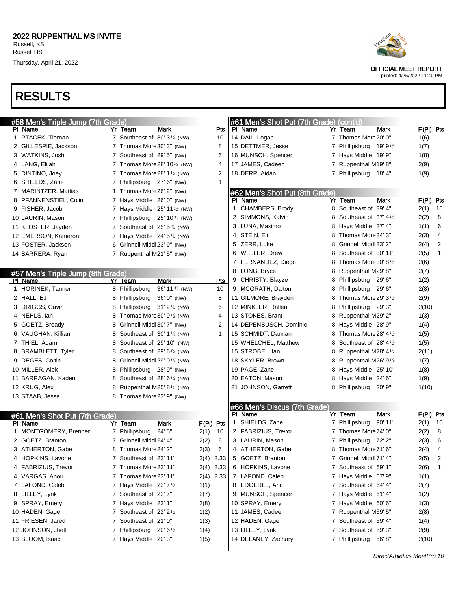# RESULTS

| #58 Men's Triple Jump (7th Grade) |                                                         |                | #61 Men's Shot Put (7th Grade) (cont'd) |   |                                                  |                        |
|-----------------------------------|---------------------------------------------------------|----------------|-----------------------------------------|---|--------------------------------------------------|------------------------|
| PI Name                           | Yr Team<br>Mark                                         | Pts            | PI Name                                 |   | Yr Team<br>Mark                                  | $F(PI)$ Pts            |
| 1 PTACEK, Tiernan                 | 7 Southeast of $30'3'4$ (NW)                            | 10             | 14 DAIL, Logan                          |   | 7 Thomas More 20' 0"                             | 1(6)                   |
| 2 GILLESPIE, Jackson              | 7 Thomas More 30' 3" (NW)                               | 8              | 15 DETTMER, Jesse                       |   | 7 Phillipsburg 19' 9 <sup>1</sup> /2             | 1(7)                   |
| 3 WATKINS, Josh                   | 7 Southeast of 29' 5" (NW)                              | 6              | 16 MUNSCH, Spencer                      |   | 7 Hays Middle 19' 9"                             | 1(8)                   |
| 4 LANG, Elijah                    | 7 Thomas More 28' 10 $\frac{1}{4}$ (NW)                 | 4              | 17 JAMES, Cadeen                        |   | 7 Ruppenthal M19' 8"                             | 2(9)                   |
| 5 DINTINO, Joey                   | 7 Thomas More 28' 1 <sup>1/4</sup> (NW)                 | $\overline{2}$ | 18 DERR, Aidan                          |   | 7 Phillipsburg 18' 4"                            | 1(9)                   |
| 6 SHIELDS, Zane                   | 7 Phillipsburg 27' 6" (NW)                              | $\mathbf{1}$   |                                         |   |                                                  |                        |
| 7 MARINTZER, Mattias              | 1 Thomas More 26' 2" (NW)                               |                | #62 Men's Shot Put (8th Grade)          |   |                                                  |                        |
| 8 PFANNENSTIEL, Colin             | 7 Hays Middle 26' 0" (NW)                               |                | PI Name                                 |   | Yr Team<br>Mark                                  | $F(PI)$ Pts            |
| 9 FISHER, Jacob                   | 7 Hays Middle 25' 11 <sup>1/2</sup> (NW)                |                | 1 CHAMBERS, Brody                       |   | 8 Southeast of 39' 4"                            | 10<br>2(1)             |
| 10 LAURIN, Mason                  | 7 Phillipsburg 25' 103/4 (NW)                           |                | 2 SIMMONS, Kalvin                       |   | 8 Southeast of 37' 4 <sup>1</sup> / <sub>2</sub> | 2(2)<br>8              |
| 11 KLOSTER, Jayden                | 7 Southeast of 25' 5 <sup>3/4</sup> (NW)                |                | 3 LUNA, Maximo                          | 8 | Hays Middle 37' 4"                               | 6<br>1(1)              |
| 12 EMERSON, Kameron               | 7 Hays Middle $24'5''/4$ (NW)                           |                | 4 STEIN, Eli                            |   | Thomas More 34' 3"                               | 2(3)<br>4              |
| 13 FOSTER, Jackson                | 6 Grinnell Middl 23' 9" (NW)                            |                | 5 ZERR, Luke                            | 8 | Grinnell Middl 33' 2"                            | $\overline{2}$<br>2(4) |
| 14 BARRERA, Ryan                  | 7 Ruppenthal M21' 5" (NW)                               |                | 6 WELLER, Drew                          |   | Southeast of 30' 11"                             | $\mathbf{1}$<br>2(5)   |
|                                   |                                                         |                | 7 FERNANDEZ, Diego                      |   | Thomas More 30' 8 <sup>1</sup> /2                | 2(6)                   |
| #57 Men's Triple Jump (8th Grade) |                                                         |                | 8 LONG, Bryce                           | 8 | Ruppenthal M29' 8"                               | 2(7)                   |
| PI Name                           | Yr Team<br>Mark                                         | <b>Pts</b>     | 9 CHRISTY, Blayze                       | 8 | Phillipsburg 29' 6"                              | 1(2)                   |
| 1 HORINEK, Tanner                 | 8 Phillipsburg<br>36' 11 $\frac{3}{4}$ (NW)             | 10             | 9 MCGRATH, Dalton                       | 8 | Phillipsburg 29' 6"                              | 2(8)                   |
| 2 HALL, EJ                        | 8 Phillipsburg 36' 0" (NW)                              | 8              | 11 GILMORE, Brayden                     |   | Thomas More 29' 3 <sup>1</sup> /2                | 2(9)                   |
| 3 DRIGGS, Gavin                   | 8 Phillipsburg 31' 21/4 (NW)                            | 6              | 12 MINKLER, Rallen                      | 8 | Phillipsburg 29' 3"                              | 2(10)                  |
| 4 NEHLS, lan                      | 8 Thomas More 30' $91$ (NW)                             | 4              | 13 STOKES, Brant                        | 8 | Ruppenthal M29' 2"                               | 1(3)                   |
| 5 GOETZ, Broady                   | 8 Grinnell Middl 30' 7" (NW)                            | 2              | 14 DEPENBUSCH, Dominic                  |   | Hays Middle 28' 9"                               | 1(4)                   |
| 6 VAUGHAN, Killian                | 8 Southeast of 30' 1 <sup>1/4</sup> (NW)                | $\mathbf{1}$   | 15 SCHMIDT, Damian                      |   | Thomas More 28' 4 <sup>1</sup> / <sub>2</sub>    | 1(5)                   |
| 7 THIEL, Adam                     | 8 Southeast of 29' 10" (NW)                             |                | 15 WHELCHEL, Matthew                    |   | Southeast of 28' $4\frac{1}{2}$                  | 1(5)                   |
| 8 BRAMBLETT, Tyler                | 8 Southeast of 29' $6\frac{3}{4}$ (NW)                  |                | 15 STROBEL, Ian                         | 8 | Ruppenthal M28' $4\frac{1}{2}$                   | 2(11)                  |
| 9 DEGES, Coltin                   | 8 Grinnell Middl 29' 0 <sup>1</sup> / <sub>2</sub> (NW) |                | 18 SKYLER, Brown                        | 8 | Ruppenthal M26' $9\frac{1}{2}$                   | 1(7)                   |
| 10 MILLER, Alek                   | 8 Phillipsburg 28' 9" (NW)                              |                | 19 PAGE, Zane                           | 8 | Hays Middle 25' 10"                              | 1(8)                   |
| 11 BARRAGAN, Kaden                | 8 Southeast of $28'6'4$ (NW)                            |                | 20 EATON, Mason                         | 8 | Hays Middle 24' 6"                               | 1(9)                   |
| 12 KRUG, Alex                     | 8 Ruppenthal M25' 8 <sup>1</sup> / <sub>2</sub> (NW)    |                | 21 JOHNSON, Garrett                     | 8 | Phillipsburg 20' 9"                              | 1(10)                  |
| 13 STAAB, Jesse                   | 8 Thomas More 23' 9" (NW)                               |                |                                         |   |                                                  |                        |
|                                   |                                                         |                | #66 Men's Discus (7th Grade)            |   |                                                  |                        |
| #61 Men's Shot Put (7th Grade)    |                                                         |                | PI_Name                                 |   | Mark<br>Yr Team                                  | $F(PI)$ Pts            |
| PI Name                           | Yr Team<br>Mark                                         | $F(PI)$ Pts    | 1 SHIELDS, Zane                         |   | 7 Phillipsburg<br>90' 11"                        | 2(1)<br>10             |
| 1 MONTGOMERY, Brenner             | 24' 5"<br>7 Phillipsburg                                | 10<br>2(1)     | 2 FABRIZIUS, Trevor                     |   | 7 Thomas More 74' 0"                             | 8<br>2(2)              |
| 2 GOETZ, Branton                  | 7 Grinnell Middl 24' 4"                                 | 2(2)<br>8      | 3 LAURIN, Mason                         | 7 | Phillipsburg 72' 2"                              | 6<br>2(3)              |
| 3 ATHERTON, Gabe                  | 8 Thomas More 24' 2"                                    | 2(3)<br>6      | 4 ATHERTON, Gabe                        |   | 8 Thomas More 71' 6"                             | 2(4)<br>4              |
| 4 HOPKINS, Lavone                 | 7 Southeast of 23' 11"                                  | 2(4) 2.33      | 5 GOETZ, Branton                        |   | 7 Grinnell Middl 71' 4"                          | 2(5)<br>2              |
| 4 FABRIZIUS, Trevor               | 7 Thomas More23' 11"                                    | 2(4) 2.33      | 6 HOPKINS, Lavone                       |   | 7 Southeast of 69' 1"                            | 2(6)<br>1              |
| 4 VARGAS, Anoir                   | 7 Thomas More23' 11"                                    | $2(4)$ 2.33    | 7 LAFOND, Caleb                         |   | 7 Hays Middle 67' 9"                             | 1(1)                   |
| 7 LAFOND, Caleb                   | 7 Hays Middle $23'7'$                                   | 1(1)           | 8 EDGERLE, Aric                         |   | 7 Southeast of 64' 4"                            | 2(7)                   |
| 8 LILLEY, Lyrik                   | 7 Southeast of 23' 7"                                   | 2(7)           | 9 MUNSCH, Spencer                       |   | 7 Hays Middle 61' 4"                             | 1(2)                   |
| 9 SPRAY, Emery                    | 7 Hays Middle 23' 1"                                    | 2(8)           | 10 SPRAY, Emery                         |   | 7 Hays Middle 60' 6"                             | 1(3)                   |
| 10 HADEN, Gage                    | 7 Southeast of 22' 2 <sup>1</sup> / <sub>2</sub>        | 1(2)           | 11 JAMES, Cadeen                        |   | 7 Ruppenthal M59' 5"                             | 2(8)                   |
| 11 FRIESEN, Jared                 | 7 Southeast of 21' 0"                                   | 1(3)           | 12 HADEN, Gage                          |   | 7 Southeast of 59' 4"                            | 1(4)                   |
| 12 JOHNSON, Jhett                 | 7 Phillipsburg 20' 61/2                                 | 1(4)           | 13 LILLEY, Lyrik                        |   | 7 Southeast of 59'3"                             | 2(9)                   |
| 13 BLOOM, Isaac                   | 7 Hays Middle 20'3"                                     | 1(5)           | 14 DELANEY, Zachary                     |   | 7 Phillipsburg 56'8"                             | 2(10)                  |
|                                   |                                                         |                |                                         |   |                                                  |                        |
|                                   |                                                         |                |                                         |   |                                                  |                        |



OFFICIAL MEET REPORT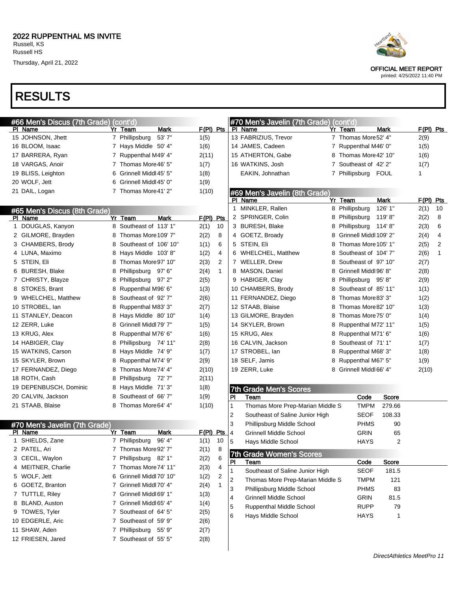# RESULTS

| #66 Men's Discus (7th Grade) (cont'd) |   |                                             |             |                |                | #70 Men's Javelin (7th Grade) (cont'd) |   |                         |              |           |              |
|---------------------------------------|---|---------------------------------------------|-------------|----------------|----------------|----------------------------------------|---|-------------------------|--------------|-----------|--------------|
| PI Name                               |   | Mark<br>Yr Team                             | $F(PI)$ Pts |                |                | PI Name                                |   | Yr Team                 | <b>Mark</b>  | F(PI) Pts |              |
| 15 JOHNSON, Jhett                     |   | 53'7"<br>7 Phillipsburg                     | 1(5)        |                |                | 13 FABRIZIUS, Trevor                   |   | 7 Thomas More 52' 4"    |              | 2(9)      |              |
| 16 BLOOM, Isaac                       |   | 7 Hays Middle 50' 4"                        | 1(6)        |                |                | 14 JAMES, Cadeen                       |   | 7 Ruppenthal M46' 0"    |              | 1(5)      |              |
| 17 BARRERA, Ryan                      |   | 7 Ruppenthal M49' 4"                        | 2(11)       |                |                | 15 ATHERTON, Gabe                      |   | 8 Thomas More 42' 10"   |              | 1(6)      |              |
| 18 VARGAS, Anoir                      |   | 7 Thomas More 46' 5"                        | 1(7)        |                |                | 16 WATKINS, Josh                       |   | 7 Southeast of 42' 2"   |              | 1(7)      |              |
| 19 BLISS, Leighton                    | 6 | Grinnell Middl 45' 5"                       | 1(8)        |                |                | EAKIN, Johnathan                       |   | 7 Phillipsburg          | FOUL         | 1         |              |
| 20 WOLF, Jett                         | 6 | Grinnell Middl 45' 0"                       | 1(9)        |                |                |                                        |   |                         |              |           |              |
| 21 DAIL, Logan                        |   | 7 Thomas More 41' 2"                        | 1(10)       |                |                | #69 Men's Javelin (8th Grade)          |   |                         |              |           |              |
|                                       |   |                                             |             |                |                | PI Name                                |   | Yr Team                 | Mark         | F(PI) Pts |              |
| #65 Men's Discus (8th Grade)          |   |                                             |             |                |                | 1 MINKLER, Rallen                      |   | 8 Phillipsburg          | 126' 1"      | 2(1)      | 10           |
| PI Name                               |   | Yr Team<br>Mark                             | $F(PI)$ Pts |                |                | 2 SPRINGER, Colin                      |   | 8 Phillipsburg          | 119'8"       | 2(2)      | 8            |
| 1 DOUGLAS, Kanyon                     |   | 8 Southeast of 113' 1"                      | 2(1)        | 10             |                | 3 BURESH, Blake                        | 8 | Phillipsburg 114'8"     |              | 2(3)      | 6            |
| 2 GILMORE, Brayden                    |   | 8 Thomas More 109' 7"                       | 2(2)        | 8              |                | 4 GOETZ, Broady                        | 8 | Grinnell Middl 109' 2"  |              | 2(4)      | 4            |
| 3 CHAMBERS, Brody                     |   | 8 Southeast of 106' 10"                     | 1(1)        | 6              |                | 5 STEIN, Eli                           |   | Thomas More 105' 1"     |              | 2(5)      | 2            |
| 4 LUNA, Maximo                        |   | 8 Hays Middle 103'8"                        | 1(2)        | 4              |                | 6 WHELCHEL, Matthew                    | 8 | Southeast of 104'7"     |              | 2(6)      | $\mathbf{1}$ |
| 5 STEIN, Eli                          |   | 8 Thomas More 97' 10"                       | 2(3)        | 2              |                | 7 WELLER, Drew                         | 8 | Southeast of 97' 10"    |              | 2(7)      |              |
| 6 BURESH, Blake                       | 8 | Phillipsburg 97'6"                          | 2(4)        | $\mathbf{1}$   |                | 8 MASON, Daniel                        | 8 | Grinnell Middl 96' 8"   |              | 2(8)      |              |
| 7 CHRISTY, Blayze                     |   | 8 Phillipsburg 97'2"                        | 2(5)        |                |                | 9 HABIGER, Clay                        | 8 | Phillipsburg 95'8"      |              | 2(9)      |              |
| 8 STOKES, Brant                       |   | 8 Ruppenthal M96' 6"                        | 1(3)        |                |                | 10 CHAMBERS, Brody                     | 8 | Southeast of 85' 11"    |              | 1(1)      |              |
| 9 WHELCHEL, Matthew                   |   | 8 Southeast of 92'7"                        | 2(6)        |                |                | 11 FERNANDEZ, Diego                    |   | Thomas More 83' 3"      |              | 1(2)      |              |
| 10 STROBEL, Ian                       |   | 8 Ruppenthal M83' 3"                        | 2(7)        |                |                | 12 STAAB, Blaise                       |   | Thomas More 82' 10"     |              | 1(3)      |              |
| 11 STANLEY, Deacon                    |   | 8 Hays Middle 80' 10"                       | 1(4)        |                |                | 13 GILMORE, Brayden                    | 8 | Thomas More 75' 0"      |              | 1(4)      |              |
| 12 ZERR, Luke                         |   | 8 Grinnell Middl 79' 7"                     | 1(5)        |                |                | 14 SKYLER, Brown                       | 8 | Ruppenthal M72' 11"     |              | 1(5)      |              |
| 13 KRUG, Alex                         |   | 8 Ruppenthal M76' 6"                        | 1(6)        |                |                | 15 KRUG, Alex                          | 8 | Ruppenthal M71' 6"      |              | 1(6)      |              |
| 14 HABIGER, Clay                      |   | 8 Phillipsburg 74' 11"                      | 2(8)        |                |                | 16 CALVIN, Jackson                     | 8 | Southeast of 71' 1"     |              | 1(7)      |              |
| 15 WATKINS, Carson                    |   | 8 Hays Middle 74' 9"                        | 1(7)        |                |                | 17 STROBEL, lan                        | 8 | Ruppenthal M68' 3"      |              | 1(8)      |              |
| 15 SKYLER, Brown                      |   | 8 Ruppenthal M74' 9"                        | 2(9)        |                |                | 18 SELF, Jamis                         | 8 | Ruppenthal M67' 5"      |              | 1(9)      |              |
| 17 FERNANDEZ, Diego                   |   | 8 Thomas More 74' 4"                        | 2(10)       |                |                | 19 ZERR, Luke                          |   | 8 Grinnell Middl 66' 4" |              | 2(10)     |              |
| 18 ROTH, Cash                         |   | 8 Phillipsburg 72'7"                        | 2(11)       |                |                |                                        |   |                         |              |           |              |
| 19 DEPENBUSCH, Dominic                |   | 8 Hays Middle 71'3"                         | 1(8)        |                |                | <b>7th Grade Men's Scores</b>          |   |                         |              |           |              |
| 20 CALVIN, Jackson                    |   | 8 Southeast of 66'7"                        | 1(9)        |                | PI             | Team                                   |   | Code                    | <b>Score</b> |           |              |
| 21 STAAB, Blaise                      |   | 8 Thomas More 64' 4"                        | 1(10)       |                | 1              | Thomas More Prep-Marian Middle S       |   | <b>TMPM</b>             | 279.66       |           |              |
|                                       |   |                                             |             |                | $\overline{2}$ | Southeast of Saline Junior High        |   | <b>SEOF</b>             | 108.33       |           |              |
| #70 Men's Javelin (7th Grade)         |   |                                             | F(PI) Pts   |                | 3              | Phillipsburg Middle School             |   | <b>PHMS</b>             | 90           |           |              |
| PI Name<br>1 SHIELDS, Zane            |   | Yr Team<br>Mark<br>7 Phillipsburg<br>96' 4" | 1(1)        | 10             | 4              | <b>Grinnell Middle School</b>          |   | <b>GRIN</b>             | 65           |           |              |
| 2 PATEL, Ari                          |   | 7 Thomas More92' 7"                         | 2(1)        | 8              | 5              | Hays Middle School                     |   | HAYS                    | 2            |           |              |
| 3 CECIL, Waylon                       |   | 7 Phillipsburg 82' 1"                       | 2(2)        | 6              | 7th            | <b>Grade Women's Scores</b>            |   |                         |              |           |              |
| 4 MEITNER, Charlie                    |   | 7 Thomas More 74' 11"                       | 2(3)        | 4              | PI             | Team                                   |   | Code                    | Score        |           |              |
| 5 WOLF, Jett                          |   | 6 Grinnell Middl 70' 10"                    | 1(2)        | $\overline{c}$ | 1              | Southeast of Saline Junior High        |   | <b>SEOF</b>             | 181.5        |           |              |
| 6 GOETZ, Branton                      |   | 7 Grinnell Middl 70' 4"                     | 2(4)        | 1              | 2              | Thomas More Prep-Marian Middle S       |   | <b>TMPM</b>             | 121          |           |              |
| 7 TUTTLE, Riley                       |   | 7 Grinnell Middl 69' 1"                     | 1(3)        |                | 3              | Phillipsburg Middle School             |   | <b>PHMS</b>             | 83           |           |              |
| 8 BLAND, Auston                       |   | 7 Grinnell Middl 65' 4"                     | 1(4)        |                | 4              | <b>Grinnell Middle School</b>          |   | <b>GRIN</b>             | 81.5         |           |              |
| 9 TOWES, Tyler                        |   | 7 Southeast of 64' 5"                       | 2(5)        |                | 5              | <b>Ruppenthal Middle School</b>        |   | <b>RUPP</b>             | 79           |           |              |
| 10 EDGERLE, Aric                      |   | 7 Southeast of 59' 9"                       | 2(6)        |                | 6              | Hays Middle School                     |   | <b>HAYS</b>             | 1            |           |              |
| 11 SHAW, Aden                         |   | 7 Phillipsburg 55' 9"                       | 2(7)        |                |                |                                        |   |                         |              |           |              |
| 12 FRIESEN, Jared                     |   | 7 Southeast of 55' 5"                       | 2(8)        |                |                |                                        |   |                         |              |           |              |
|                                       |   |                                             |             |                |                |                                        |   |                         |              |           |              |
|                                       |   |                                             |             |                |                |                                        |   |                         |              |           |              |



OFFICIAL MEET REPORT